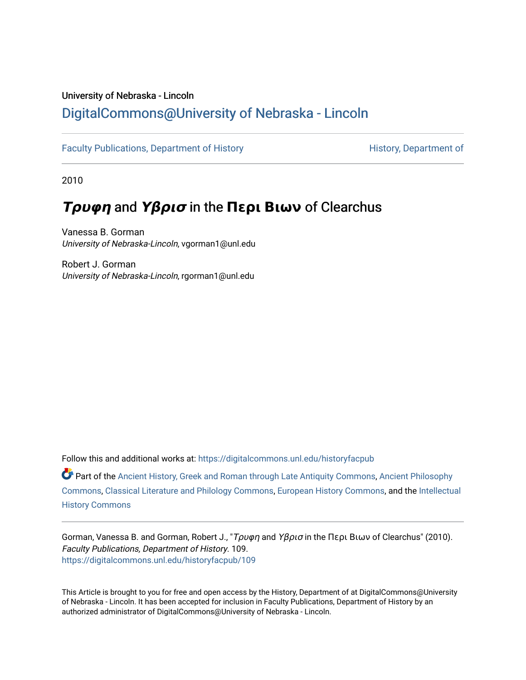## University of Nebraska - Lincoln [DigitalCommons@University of Nebraska - Lincoln](https://digitalcommons.unl.edu/)

[Faculty Publications, Department of History](https://digitalcommons.unl.edu/historyfacpub) **History** History, Department of

2010

# **Τρυφη** and **Υβρισ** in the **Περι Βιων** of Clearchus

Vanessa B. Gorman University of Nebraska-Lincoln, vgorman1@unl.edu

Robert J. Gorman University of Nebraska-Lincoln, rgorman1@unl.edu

Follow this and additional works at: [https://digitalcommons.unl.edu/historyfacpub](https://digitalcommons.unl.edu/historyfacpub?utm_source=digitalcommons.unl.edu%2Fhistoryfacpub%2F109&utm_medium=PDF&utm_campaign=PDFCoverPages) 

Part of the [Ancient History, Greek and Roman through Late Antiquity Commons](http://network.bepress.com/hgg/discipline/447?utm_source=digitalcommons.unl.edu%2Fhistoryfacpub%2F109&utm_medium=PDF&utm_campaign=PDFCoverPages), [Ancient Philosophy](http://network.bepress.com/hgg/discipline/448?utm_source=digitalcommons.unl.edu%2Fhistoryfacpub%2F109&utm_medium=PDF&utm_campaign=PDFCoverPages)  [Commons](http://network.bepress.com/hgg/discipline/448?utm_source=digitalcommons.unl.edu%2Fhistoryfacpub%2F109&utm_medium=PDF&utm_campaign=PDFCoverPages), [Classical Literature and Philology Commons,](http://network.bepress.com/hgg/discipline/451?utm_source=digitalcommons.unl.edu%2Fhistoryfacpub%2F109&utm_medium=PDF&utm_campaign=PDFCoverPages) [European History Commons,](http://network.bepress.com/hgg/discipline/492?utm_source=digitalcommons.unl.edu%2Fhistoryfacpub%2F109&utm_medium=PDF&utm_campaign=PDFCoverPages) and the [Intellectual](http://network.bepress.com/hgg/discipline/501?utm_source=digitalcommons.unl.edu%2Fhistoryfacpub%2F109&utm_medium=PDF&utm_campaign=PDFCoverPages)  [History Commons](http://network.bepress.com/hgg/discipline/501?utm_source=digitalcommons.unl.edu%2Fhistoryfacpub%2F109&utm_medium=PDF&utm_campaign=PDFCoverPages)

Gorman, Vanessa B. and Gorman, Robert J., "Τρυφη and Υβρισ in the Περι Βιων of Clearchus" (2010). Faculty Publications, Department of History. 109. [https://digitalcommons.unl.edu/historyfacpub/109](https://digitalcommons.unl.edu/historyfacpub/109?utm_source=digitalcommons.unl.edu%2Fhistoryfacpub%2F109&utm_medium=PDF&utm_campaign=PDFCoverPages) 

This Article is brought to you for free and open access by the History, Department of at DigitalCommons@University of Nebraska - Lincoln. It has been accepted for inclusion in Faculty Publications, Department of History by an authorized administrator of DigitalCommons@University of Nebraska - Lincoln.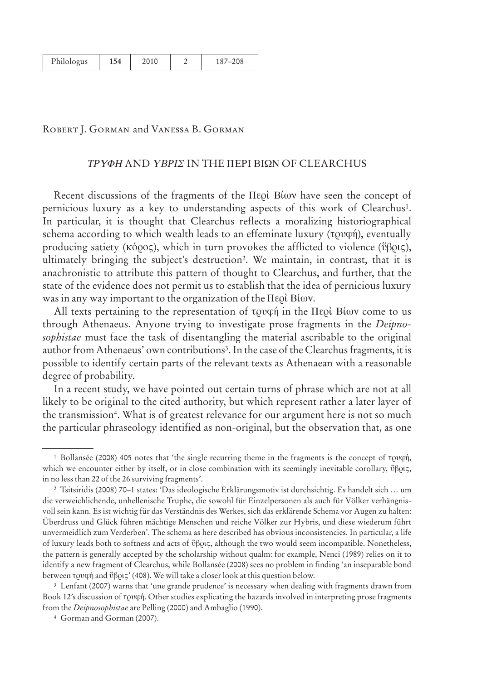| Philologus | 154 | 2010 |  | 187-208 |
|------------|-----|------|--|---------|
|------------|-----|------|--|---------|

#### Robert J. Gorman and Vanessa B. Gorman

#### *TPYOH* AND *YBPIE* IN THE HEPI BIQN OF CLEARCHUS

Recent discussions of the fragments of the Περὶ Βίων have seen the concept of pernicious luxury as a key to understanding aspects of this work of Clearchus1. In particular, it is thought that Clearchus reflects a moralizing historiographical schema according to which wealth leads to an effeminate luxury  $(\text{row}(\hat{\eta}))$ , eventually producing satiety (κόρος), which in turn provokes the afflicted to violence (ΰβρις), ultimately bringing the subject's destruction2. We maintain, in contrast, that it is anachronistic to attribute this pattern of thought to Clearchus, and further, that the state of the evidence does not permit us to establish that the idea of pernicious luxury was in any way important to the organization of the  $\Pi$ ε $\varrho$ ί Βίων.

All texts pertaining to the representation of  $\tau \rho \psi$  in the Heol Bíov come to us through Athenaeus. Anyone trying to investigate prose fragments in the *Deipnosophistae* must face the task of disentangling the material ascribable to the original author from Athenaeus' own contributions3. In the case of the Clearchus fragments, it is possible to identify certain parts of the relevant texts as Athenaean with a reasonable degree of probability.

In a recent study, we have pointed out certain turns of phrase which are not at all likely to be original to the cited authority, but which represent rather a later layer of the transmission<sup>4</sup>. What is of greatest relevance for our argument here is not so much the particular phraseology identified as non-original, but the observation that, as one

<sup>&</sup>lt;sup>1</sup> Bollansée (2008) 405 notes that 'the single recurring theme in the fragments is the concept of  $T_V$ which we encounter either by itself, or in close combination with its seemingly inevitable corollary,  $\mathfrak{ib}\rho\mathfrak{ic}\zeta$ , in no less than 22 of the 26 surviving fragments'.

<sup>2</sup> Tsitsiridis (2008) 70–1 states: 'Das ideologische Erklärungsmotiv ist durchsichtig. Es handelt sich … um die verweichlichende, unhellenische Truphe, die sowohl für Einzelpersonen als auch für Völker verhängnisvoll sein kann. Es ist wichtig für das Verständnis des Werkes, sich das erklärende Schema vor Augen zu halten: Überdruss und Glück führen mächtige Menschen und reiche Völker zur Hybris, und diese wiederum führt unvermeidlich zum Verderben'. The schema as here described has obvious inconsistencies. In particular, a life of luxury leads both to softness and acts of  $\vartheta$  $\varphi$ , although the two would seem incompatible. Nonetheless, the pattern is generally accepted by the scholarship without qualm: for example, Nenci (1989) relies on it to identify a new fragment of Clearchus, while Bollansée (2008) sees no problem in finding 'an inseparable bond between τρυφή and ύβρις' (408). We will take a closer look at this question below.

<sup>3</sup> Lenfant (2007) warns that 'une grande prudence' is necessary when dealing with fragments drawn from Book 12's discussion of tovan. Other studies explicating the hazards involved in interpreting prose fragments from the *Deipnosophistae* are Pelling (2000) and Ambaglio (1990).

<sup>4</sup> Gorman and Gorman (2007).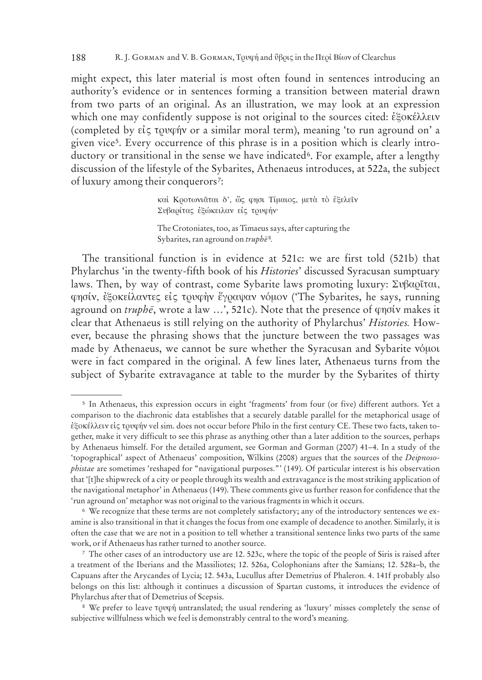might expect, this later material is most often found in sentences introducing an authority's evidence or in sentences forming a transition between material drawn from two parts of an original. As an illustration, we may look at an expression which one may confidently suppose is not original to the sources cited: έξοκέλλειν (completed by  $\epsilon i \zeta \tau$  to ray or a similar moral term), meaning 'to run aground on' a given vice5. Every occurrence of this phrase is in a position which is clearly introductory or transitional in the sense we have indicated<sup>6</sup>. For example, after a lengthy discussion of the lifestyle of the Sybarites, Athenaeus introduces, at 522a, the subject of luxury among their conquerors<sup>7</sup>:

> καί Κροτωνιάται δ', ώς φησι Τίμαιος, μετά το έξελεϊν Συβαρίτας έξώκειλαν είς τρυφήν·

The Crotoniates, too, as Timaeus says, after capturing the Sybarites, ran aground on *truph*<sup> $\bar{e}$ 8.</sup>

The transitional function is in evidence at 521c: we are first told (521b) that Phylarchus 'in the twenty-fifth book of his *Histories*' discussed Syracusan sumptuary laws. Then, by way of contrast, come Sybarite laws promoting luxury:  $\Sigma \nu \beta \alpha \rho \tilde{\iota} \tau \alpha \iota$ , φησίν, εξοκείλαντες είς τρυφην έγραψαν νόμον (The Sybarites, he says, running aground on *truphe*, wrote a law ...', 521c). Note that the presence of φησίν makes it clear that Athenaeus is still relying on the authority of Phylarchus' *Histories.* However, because the phrasing shows that the juncture between the two passages was made by Athenaeus, we cannot be sure whether the Syracusan and Sybarite vóµot were in fact compared in the original. A few lines later, Athenaeus turns from the subject of Sybarite extravagance at table to the murder by the Sybarites of thirty

<sup>5</sup> In Athenaeus, this expression occurs in eight 'fragments' from four (or five) different authors. Yet a comparison to the diachronic data establishes that a securely datable parallel for the metaphorical usage of εξοκέλλειν είς τρυφήν vel sim. does not occur before Philo in the first century CE. These two facts, taken together, make it very difficult to see this phrase as anything other than a later addition to the sources, perhaps by Athenaeus himself. For the detailed argument, see Gorman and Gorman (2007) 41–4. In a study of the 'topographical' aspect of Athenaeus' composition, Wilkins (2008) argues that the sources of the *Deipnosophistae* are sometimes 'reshaped for "navigational purposes."' (149). Of particular interest is his observation that '[t]he shipwreck of a city or people through its wealth and extravagance is the most striking application of the navigational metaphor' in Athenaeus (149). These comments give us further reason for confidence that the 'run aground on' metaphor was not original to the various fragments in which it occurs.

<sup>6</sup> We recognize that these terms are not completely satisfactory; any of the introductory sentences we examine is also transitional in that it changes the focus from one example of decadence to another. Similarly, it is often the case that we are not in a position to tell whether a transitional sentence links two parts of the same work, or if Athenaeus has rather turned to another source.

<sup>7</sup> The other cases of an introductory use are 12. 523c, where the topic of the people of Siris is raised after a treatment of the Iberians and the Massiliotes; 12. 526a, Colophonians after the Samians; 12. 528a–b, the Capuans after the Arycandes of Lycia; 12. 543a, Lucullus after Demetrius of Phaleron. 4. 141f probably also belongs on this list: although it continues a discussion of Spartan customs, it introduces the evidence of Phylarchus after that of Demetrius of Scepsis.

<sup>&</sup>lt;sup>8</sup> We prefer to leave to von untranslated; the usual rendering as 'luxury' misses completely the sense of subjective willfulness which we feel is demonstrably central to the word's meaning.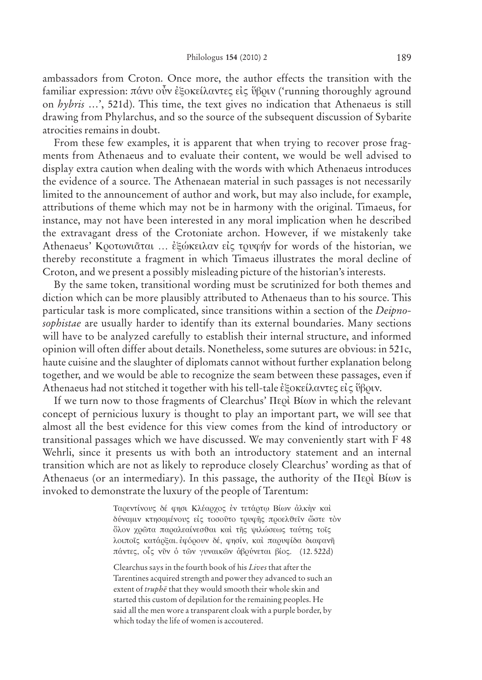ambassadors from Croton. Once more, the author effects the transition with the familiar expression: πάνυ οὖν εξοκείλαντες εἰς ὕβοιν ('running thoroughly aground on *hybris* …', 521d). This time, the text gives no indication that Athenaeus is still drawing from Phylarchus, and so the source of the subsequent discussion of Sybarite atrocities remains in doubt.

From these few examples, it is apparent that when trying to recover prose fragments from Athenaeus and to evaluate their content, we would be well advised to display extra caution when dealing with the words with which Athenaeus introduces the evidence of a source. The Athenaean material in such passages is not necessarily limited to the announcement of author and work, but may also include, for example, attributions of theme which may not be in harmony with the original. Timaeus, for instance, may not have been interested in any moral implication when he described the extravagant dress of the Crotoniate archon. However, if we mistakenly take Athenaeus' Κροτωνιᾶται ... εξώκειλαν είς τρυφήν for words of the historian, we thereby reconstitute a fragment in which Timaeus illustrates the moral decline of Croton, and we present a possibly misleading picture of the historian's interests.

By the same token, transitional wording must be scrutinized for both themes and diction which can be more plausibly attributed to Athenaeus than to his source. This particular task is more complicated, since transitions within a section of the *Deipnosophistae* are usually harder to identify than its external boundaries. Many sections will have to be analyzed carefully to establish their internal structure, and informed opinion will often differ about details. Nonetheless, some sutures are obvious: in 521c, haute cuisine and the slaughter of diplomats cannot without further explanation belong together, and we would be able to recognize the seam between these passages, even if Athenaeus had not stitched it together with his tell-tale εξοκείλαντες είς ύβοιν.

If we turn now to those fragments of Clearchus' Περὶ Βίων in which the relevant concept of pernicious luxury is thought to play an important part, we will see that almost all the best evidence for this view comes from the kind of introductory or transitional passages which we have discussed. We may conveniently start with F 48 Wehrli, since it presents us with both an introductory statement and an internal transition which are not as likely to reproduce closely Clearchus' wording as that of Athenaeus (or an intermediary). In this passage, the authority of the  $\Pi$ ερί Βίων is invoked to demonstrate the luxury of the people of Tarentum:

> Ταρεντίνους δέ φησι Κλέαρχος έν τετάρτω Βίων άλκην και δύναμιν κτησαμένους είς τοσούτο τρυφής προελθεϊν ώστε τόν όλον χρώτα παραλεαίνεσθαι και της ψιλώσεως ταύτης τοις λοιποΐς κατάρξαι. έφόρουν δέ, φησίν, και παρυφίδα διαφανή πάντες, οίς νῦν ὁ τῶν γυναικῶν ἀβρύνεται βίος. (12.522d)

Clearchus says in the fourth book of his *Lives* that after the Tarentines acquired strength and power they advanced to such an extent of *truph*  $\bar{e}$  that they would smooth their whole skin and started this custom of depilation for the remaining peoples. He said all the men wore a transparent cloak with a purple border, by which today the life of women is accoutered.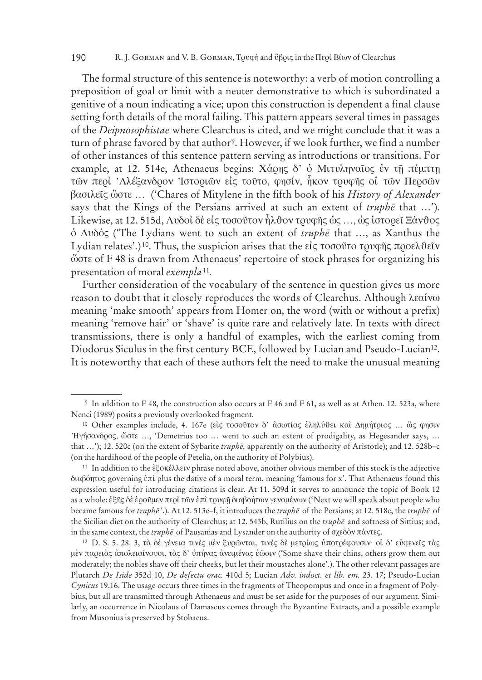#### 190 R. J. GORMAN and V. B. GORMAN, Τρυφή and ύβρις in the Περὶ Βίων of Clearchus

The formal structure of this sentence is noteworthy: a verb of motion controlling a preposition of goal or limit with a neuter demonstrative to which is subordinated a genitive of a noun indicating a vice; upon this construction is dependent a final clause setting forth details of the moral failing. This pattern appears several times in passages of the *Deipnosophistae* where Clearchus is cited, and we might conclude that it was a turn of phrase favored by that author<sup>9</sup>. However, if we look further, we find a number of other instances of this sentence pattern serving as introductions or transitions. For example, at 12. 514e, Athenaeus begins: Χάρης δ' ο Μιτυληναΐος έν τῆ πέμπτη τῶν περὶ 'Αλέξανδρον 'Ιστοριῶν εἰς τοῦτο, φησίν, ἧκον τρυφῆς οἱ τῶν Περσῶν basileîv wçste … ('Chares of Mitylene in the fifth book of his *History of Alexander* says that the Kings of the Persians arrived at such an extent of *truphe* that ...'). Likewise, at 12. 515d,  $\Lambda v$ δοὶ δὲ εἰς τοσοῦτον ἦλθον τρυφῆς ὡς ..., ὡς ἱστορεῖ Ξάνθος o™ Ludóv ('The Lydians went to such an extent of *truphe¯* that …, as Xanthus the Lydian relates'.)<sup>10</sup>. Thus, the suspicion arises that the  $\epsilon i \zeta$  τοσοῦτο τρυφῆς προελθεῖν ώστε of F 48 is drawn from Athenaeus' repertoire of stock phrases for organizing his presentation of moral *exempla*<sup>11</sup>*.*

Further consideration of the vocabulary of the sentence in question gives us more reason to doubt that it closely reproduces the words of Clearchus. Although λεαίνω meaning 'make smooth' appears from Homer on, the word (with or without a prefix) meaning 'remove hair' or 'shave' is quite rare and relatively late. In texts with direct transmissions, there is only a handful of examples, with the earliest coming from Diodorus Siculus in the first century BCE, followed by Lucian and Pseudo-Lucian12. It is noteworthy that each of these authors felt the need to make the unusual meaning

<sup>9</sup> In addition to F 48, the construction also occurs at F 46 and F 61, as well as at Athen. 12. 523a, where Nenci (1989) posits a previously overlooked fragment.

<sup>&</sup>lt;sup>10</sup> Other examples include, 4. 167e (είς τοσοῦτον δ' ἀσωτίας ἐληλύθει καὶ Δημήτριος ... ὥς φησιν ¿Hgäsandrov, wçste …, 'Demetrius too … went to such an extent of prodigality, as Hegesander says, … that ...'); 12. 520c (on the extent of Sybarite *truphe*, apparently on the authority of Aristotle); and 12. 528b–c (on the hardihood of the people of Petelia, on the authority of Polybius).

<sup>&</sup>lt;sup>11</sup> In addition to the έξοκέλλειν phrase noted above, another obvious member of this stock is the adjective διαβόητος governing επί plus the dative of a moral term, meaning 'famous for x'. That Athenaeus found this expression useful for introducing citations is clear. At 11. 509d it serves to announce the topic of Book 12 as a whole: εξῆς δὲ εροῦμεν περὶ τῶν ἐπὶ τρυφῆ διαβοήτων γενομένων ('Next we will speak about people who became famous for *truphe¯* '.). At 12. 513e–f, it introduces the *truphe¯* of the Persians; at 12. 518c, the *truphe¯* of the Sicilian diet on the authority of Clearchus; at 12. 543b, Rutilius on the *truphe¯* and softness of Sittius; and, in the same context, the *truphe* of Pausanias and Lysander on the authority of σχεδὸν πάντες.

<sup>&</sup>lt;sup>12</sup> D. S. 5. 28. 3, τὰ δὲ γένεια τινὲς μὲν ξυρῶνται, τινὲς δὲ μετρίως υποτρέφουσιν· οί δ' εὐφενεῖς τὰς μέν παρειάς άπολειαίνουσι, τὰς δ' ύπήνας ἀνειμένας ἐῶσιν ('Some shave their chins, others grow them out moderately; the nobles shave off their cheeks, but let their moustaches alone'.). The other relevant passages are Plutarch *De Iside* 352d 10, *De defectu orac.* 410d 5; Lucian *Adv. indoct. et lib. em.* 23. 17; Pseudo-Lucian *Cynicus* 19.16. The usage occurs three times in the fragments of Theopompus and once in a fragment of Polybius, but all are transmitted through Athenaeus and must be set aside for the purposes of our argument. Similarly, an occurrence in Nicolaus of Damascus comes through the Byzantine Extracts, and a possible example from Musonius is preserved by Stobaeus.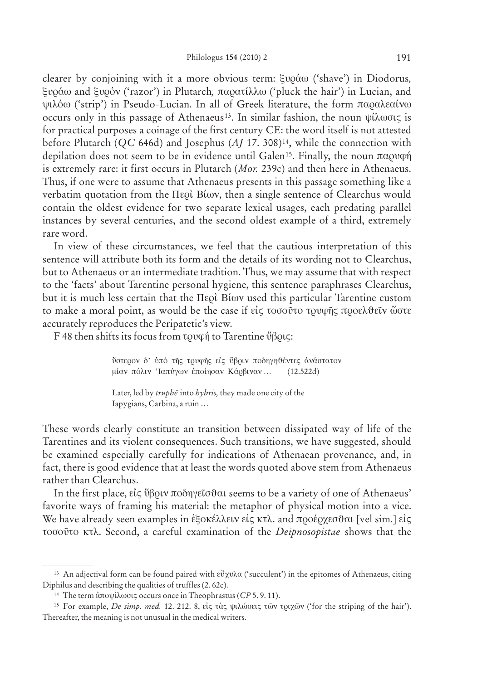clearer by conjoining with it a more obvious term: *ξυράω* ('shave') in Diodorus, xuráw and xurón ('razor') in Plutarch*,* paratíllw ('pluck the hair') in Lucian, and ψιλόω ('strip') in Pseudo-Lucian. In all of Greek literature, the form παραλεαίνω occurs only in this passage of Athenaeus<sup>13</sup>. In similar fashion, the noun  $\psi \hat{\lambda} \omega \sigma \zeta$  is for practical purposes a coinage of the first century CE: the word itself is not attested before Plutarch (*QC* 646d) and Josephus (*AJ* 17. 308)14, while the connection with depilation does not seem to be in evidence until Galen<sup>15</sup>. Finally, the noun  $\pi \alpha \rho \nu \varphi \gamma$ is extremely rare: it first occurs in Plutarch (*Mor.* 239c) and then here in Athenaeus. Thus, if one were to assume that Athenaeus presents in this passage something like a verbatim quotation from the Περὶ Βίων, then a single sentence of Clearchus would contain the oldest evidence for two separate lexical usages, each predating parallel instances by several centuries, and the second oldest example of a third, extremely rare word.

In view of these circumstances, we feel that the cautious interpretation of this sentence will attribute both its form and the details of its wording not to Clearchus, but to Athenaeus or an intermediate tradition. Thus, we may assume that with respect to the 'facts' about Tarentine personal hygiene, this sentence paraphrases Clearchus, but it is much less certain that the Perì Bíwn used this particular Tarentine custom to make a moral point, as would be the case if  $\epsilon\zeta$  togover to  $\nu\varphi\eta\zeta$  προελθεΐν ώστε accurately reproduces the Peripatetic's view.

F 48 then shifts its focus from  $\tau$  and  $\gamma$  to Tarentine  $\tilde{\nu}$   $\beta$  austings to Tarentine  $\tilde{\nu}$   $\beta$  austings to Tarentine  $\tilde{\nu}$   $\beta$  austings to Tarentine  $\tilde{\nu}$   $\beta$  austings to Tarentine  $\tilde{\nu}$   $\beta$  aust

ύστερον δ' υπό της τρυφης είς ύβριν ποδηγηθέντες ανάστατον μίαν πόλιν 'Ιαπύγων εποίησαν Κάρβιναν... (12.522d)

Later, led by *truphe* into *hybris*, they made one city of the Iapygians, Carbina, a ruin …

These words clearly constitute an transition between dissipated way of life of the Tarentines and its violent consequences. Such transitions, we have suggested, should be examined especially carefully for indications of Athenaean provenance, and, in fact, there is good evidence that at least the words quoted above stem from Athenaeus rather than Clearchus.

In the first place,  $\epsilon i \zeta \tilde{\nu} \beta \rho \nu \pi \omega \delta \eta \gamma \epsilon \tilde{\sigma} \omega$  seems to be a variety of one of Athenaeus' favorite ways of framing his material: the metaphor of physical motion into a vice. We have already seen examples in εξοκέλλειν είς κτλ. and προέρχεσθαι [vel sim.] είς tosoûto κtl. Second, a careful examination of the *Deipnosopistae* shows that the

<sup>&</sup>lt;sup>13</sup> An adjectival form can be found paired with  $e^{i\theta} \chi \nu \lambda \alpha$  ('succulent') in the epitomes of Athenaeus, citing Diphilus and describing the qualities of truffles (2. 62c).

<sup>&</sup>lt;sup>14</sup> The term ἀποψίλωσις occurs once in Theophrastus ( $CP$  5.9.11).

<sup>&</sup>lt;sup>15</sup> For example, *De simp. med.* 12. 212. 8, είς τὰς ψιλώσεις τῶν τριχῶν ('for the striping of the hair'). Thereafter, the meaning is not unusual in the medical writers.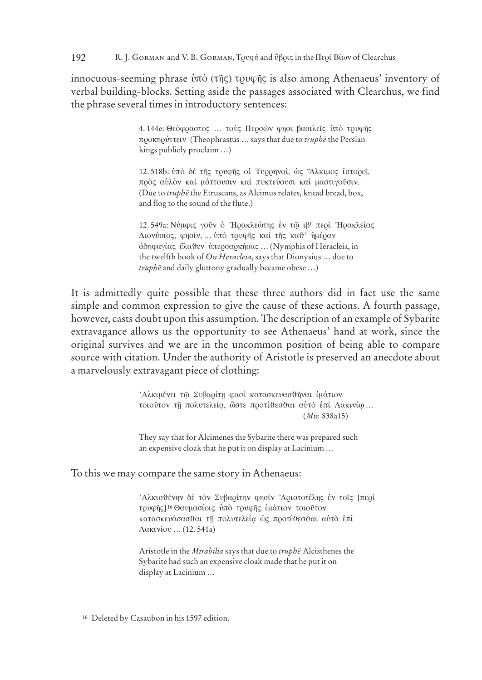192 R. J. GORMAN and V. B. GORMAN, TOUQÝ and ὕβοις in the Περί Βίων of Clearchus

innocuous-seeming phrase  $\hat{v}$  ( $\hat{\tau}$ )  $\hat{\tau}$  ( $\hat{\tau}$ )  $\hat{\tau}$ )  $\hat{\tau}$   $\hat{\tau}$ )  $\hat{\tau}$  and  $\hat{\tau}$  and  $\hat{\tau}$  and  $\hat{\tau}$  and  $\hat{\tau}$  and  $\hat{\tau}$  and  $\hat{\tau}$  and  $\hat{\tau}$  and  $\hat{\tau}$  and  $\hat{\tau}$  and  $\hat{\tau}$  and  $\$ verbal building-blocks. Setting aside the passages associated with Clearchus, we find the phrase several times in introductory sentences:

> 4.144e: Θεόφραστος ... τούς Περσών φησι βασιλεΐς ύπό τρυφής προκηρύττειν (Theophrastus ... says that due to truphe the Persian kings publicly proclaim ...)

> 12.518b: ύπό δέ της τρυφης οί Τυρρηνοί, ώς "Αλκιμος ίστορεϊ, πρός αύλόν καί μάττουσιν καί πυκτεύουσι καί μαστιγούσιν. (Due to truphe the Etruscans, as Alcimus relates, knead bread, box, and flog to the sound of the flute.)

12.549a: Νύμφις γούν ο Ηρακλεώτης έν τω ιβ' περί Ηρακλείας Διονύσιος, φησίν, ... υπό τρυφής και της καθ' ημέραν άδηφαγίας έλαθεν ύπερσαρκήσας ... (Nymphis of Heracleia, in the twelfth book of On Heracleia, says that Dionysius ... due to truphē and daily gluttony gradually became obese ...)

It is admittedly quite possible that these three authors did in fact use the same simple and common expression to give the cause of these actions. A fourth passage, however, casts doubt upon this assumption. The description of an example of Sybarite extravagance allows us the opportunity to see Athenaeus' hand at work, since the original survives and we are in the uncommon position of being able to compare source with citation. Under the authority of Aristotle is preserved an anecdote about a marvelously extravagant piece of clothing:

> Αλκιμένει τω Συβαρίτη φασί κατασκευασθήναι ιμάτιον τοιούτον τη πολυτελεία, ώστε προτίθεσθαι αύτο έπι Λακινίω...  $(Mir. 838a15)$

They say that for Alcimenes the Sybarite there was prepared such an expensive cloak that he put it on display at Lacinium ...

To this we may compare the same story in Athenaeus:

Άλκισθένην δέ τον Συβαρίτην φησίν Αριστοτέλης έν τοΐς [περί τουφής]<sup>16</sup> Θαυμασίοις ύπό τουφής ιμάτιον τοιούτον κατασκευάσασθαι τη πολυτελεία ώς προτίθεσθαι αύτό έπι Λακινίου ... (12.541a)

Aristotle in the Mirabilia says that due to truphe Alcisthenes the Sybarite had such an expensive cloak made that he put it on display at Lacinium ...

<sup>&</sup>lt;sup>16</sup> Deleted by Casaubon in his 1597 edition.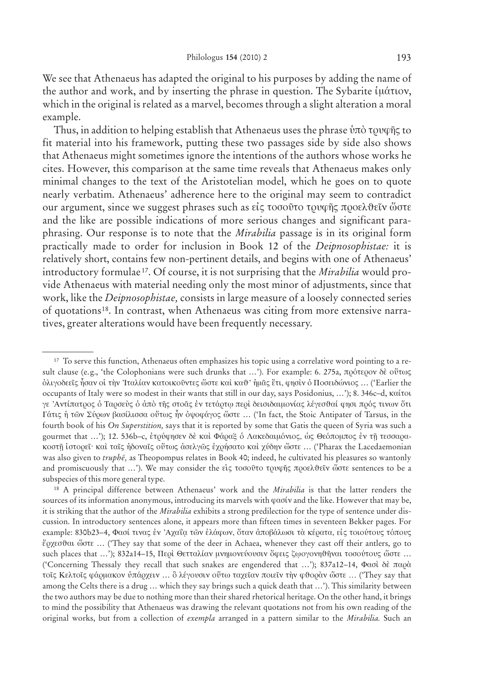We see that Athenaeus has adapted the original to his purposes by adding the name of the author and work, and by inserting the phrase in question. The Sybarite ίμάτιον, which in the original is related as a marvel, becomes through a slight alteration a moral example.

Thus, in addition to helping establish that Athenaeus uses the phrase  $\hat{v}$  to  $\hat{v}$  to  $\hat{v}$ fit material into his framework, putting these two passages side by side also shows that Athenaeus might sometimes ignore the intentions of the authors whose works he cites. However, this comparison at the same time reveals that Athenaeus makes only minimal changes to the text of the Aristotelian model, which he goes on to quote nearly verbatim. Athenaeus' adherence here to the original may seem to contradict our argument, since we suggest phrases such as είς τοσούτο τρυφής προελθεΐν ώστε and the like are possible indications of more serious changes and significant paraphrasing. Our response is to note that the *Mirabilia* passage is in its original form practically made to order for inclusion in Book 12 of the Deipnosophistae: it is relatively short, contains few non-pertinent details, and begins with one of Athenaeus' introductory formulae<sup>17</sup>. Of course, it is not surprising that the *Mirabilia* would provide Athenaeus with material needing only the most minor of adjustments, since that work, like the *Deipnosophistae*, consists in large measure of a loosely connected series of quotations<sup>18</sup>. In contrast, when Athenaeus was citing from more extensive narratives, greater alterations would have been frequently necessary.

<sup>&</sup>lt;sup>17</sup> To serve this function, Athenaeus often emphasizes his topic using a correlative word pointing to a result clause (e.g., 'the Colophonians were such drunks that ...'). For example: 6. 275a, πρότερον δε ούτως όλιγοδεεῖς ἦσαν οἱ τὴν Ἰταλίαν κατοικοῦντες ὥστε καὶ καθ' ἡμᾶς ἔτι, φησὶν ὁ Ποσειδώνιος ... ('Earlier the occupants of Italy were so modest in their wants that still in our day, says Posidonius, ...'); 8. 346c-d, Kaitou γε 'Αντίπατρος ό Ταρσεύς ό άπό της στοάς έν τετάρτω περί δεισιδαιμονίας λέγεσθαί φησι πρός τινων ότι Γάτις ή τῶν Σύρων βασίλισσα οὕτως ἦν ὀψοφάγος ὥστε ... ('In fact, the Stoic Antipater of Tarsus, in the fourth book of his On Superstition, says that it is reported by some that Gatis the queen of Syria was such a gourmet that ...'); 12. 536b-c, ετρύφησεν δε και Φάραξ ο Λακεδαιμόνιος, ως Θεόπομπος εν τη τεσσαρακοστη ιστορεί· και ταίς ήδοναίς ούτως ασελγώς έχρήσατο και χύδην ώστε ... ('Pharax the Lacedaemonian was also given to  $trupb\bar{e}$ , as Theopompus relates in Book 40; indeed, he cultivated his pleasures so wantonly and promiscuously that ...'). We may consider the είς τοσούτο τρυφής προελθεΐν ώστε sentences to be a subspecies of this more general type.

<sup>&</sup>lt;sup>18</sup> A principal difference between Athenaeus' work and the *Mirabilia* is that the latter renders the sources of its information anonymous, introducing its marvels with  $\varphi \alpha \sigma \alpha'$  and the like. However that may be, it is striking that the author of the Mirabilia exhibits a strong predilection for the type of sentence under discussion. In introductory sentences alone, it appears more than fifteen times in seventeen Bekker pages. For example: 830b23-4, Φασί τινας έν 'Αχαΐα των έλάφων, όταν άποβάλωσι τα κέρατα, είς τοιούτους τόπους έρχεσθαι ὥστε ... ('They say that some of the deer in Achaea, whenever they cast off their antlers, go to such places that ...'); 832a14-15, Περί Θετταλίαν μνημονεύουσιν ὄφεις ζωογονηθηναι τοσούτους ὥστε ... ('Concerning Thessaly they recall that such snakes are engendered that ...'); 837a12-14, Φασὶ δὲ παρὰ τοις Κελτοις φάρμακον υπάρχειν ... δ λέγουσιν ούτω ταχείαν ποιείν την φθοράν ώστε ... ('They say that among the Celts there is a drug ... which they say brings such a quick death that ...'). This similarity between the two authors may be due to nothing more than their shared rhetorical heritage. On the other hand, it brings to mind the possibility that Athenaeus was drawing the relevant quotations not from his own reading of the original works, but from a collection of exempla arranged in a pattern similar to the Mirabilia. Such an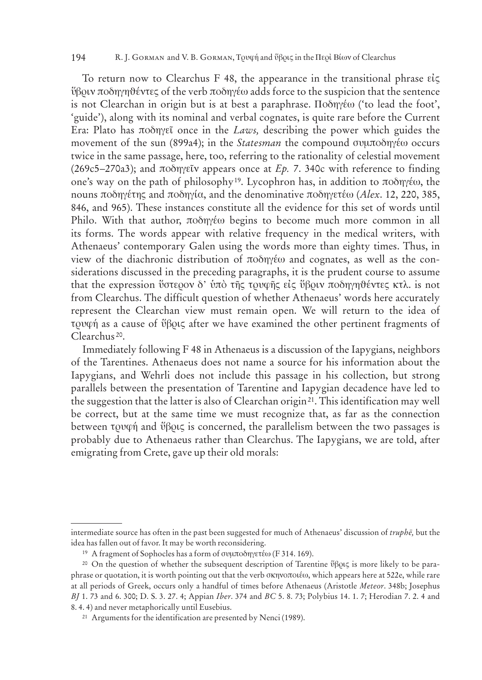#### 194 R. J. GORMAN and V. B. GORMAN, Τρυφή and ύβρις in the Περὶ Βίων of Clearchus

To return now to Clearchus F 48, the appearance in the transitional phrase  $\epsilon i \zeta$ <u>ύβο</u>υν ποδηγηθέντες of the verb ποδηγέω adds force to the suspicion that the sentence is not Clearchan in origin but is at best a paraphrase.  $\Pi$ o $\delta \eta \gamma \epsilon \omega$  ('to lead the foot', 'guide'), along with its nominal and verbal cognates, is quite rare before the Current Era: Plato has podhgeî once in the *Laws,* describing the power which guides the movement of the sun (899a4); in the *Statesman* the compound συμποδηγέω occurs twice in the same passage, here, too, referring to the rationality of celestial movement (269c5–270a3); and  $\pi$ o $\delta$ n $\gamma \in V$  appears once at *Ep.* 7. 340c with reference to finding one's way on the path of philosophy<sup>19</sup>. Lycophron has, in addition to  $\pi$ 0 $\delta$ nyéw, the nouns ποδηγέτης and ποδηγία, and the denominative ποδηγετέω (*Alex.* 12, 220, 385, 846, and 965). These instances constitute all the evidence for this set of words until Philo. With that author,  $\pi$ o $\delta$ n $\gamma$ έω begins to become much more common in all its forms. The words appear with relative frequency in the medical writers, with Athenaeus' contemporary Galen using the words more than eighty times. Thus, in view of the diachronic distribution of  $\pi$ oon $\gamma$ éw and cognates, as well as the considerations discussed in the preceding paragraphs, it is the prudent course to assume that the expression ύστερον δ' υπό της τρυφης είς ύβριν ποδηγηθέντες κτλ. is not from Clearchus. The difficult question of whether Athenaeus' words here accurately represent the Clearchan view must remain open. We will return to the idea of  $\tau$ <sub>0</sub> to  $\psi$  as a cause of  $\psi$  $\beta$ <sup>o</sup> $\zeta$  after we have examined the other pertinent fragments of Clearchus 20.

Immediately following F 48 in Athenaeus is a discussion of the Iapygians, neighbors of the Tarentines. Athenaeus does not name a source for his information about the Iapygians, and Wehrli does not include this passage in his collection, but strong parallels between the presentation of Tarentine and Iapygian decadence have led to the suggestion that the latter is also of Clearchan origin<sup>21</sup>. This identification may well be correct, but at the same time we must recognize that, as far as the connection between  $\tau \rho \nu \varphi \eta$  and  $\vartheta \beta \rho \nu \zeta$  is concerned, the parallelism between the two passages is probably due to Athenaeus rather than Clearchus. The Iapygians, we are told, after emigrating from Crete, gave up their old morals:

intermediate source has often in the past been suggested for much of Athenaeus' discussion of *truphe*, but the idea has fallen out of favor. It may be worth reconsidering.

<sup>&</sup>lt;sup>19</sup> A fragment of Sophocles has a form of συμποδηγετέω (F 314. 169).

<sup>&</sup>lt;sup>20</sup> On the question of whether the subsequent description of Tarentine  $\mathfrak{B}$  $\mathfrak{p}$ uck is more likely to be paraphrase or quotation, it is worth pointing out that the verb sκhnopoiéw, which appears here at 522e, while rare at all periods of Greek, occurs only a handful of times before Athenaeus (Aristotle *Meteor*. 348b; Josephus *BJ* 1. 73 and 6. 300; D. S. 3. 27. 4; Appian *Iber*. 374 and *BC* 5. 8. 73; Polybius 14. 1. 7; Herodian 7. 2. 4 and 8. 4. 4) and never metaphorically until Eusebius.

<sup>21</sup> Arguments for the identification are presented by Nenci (1989).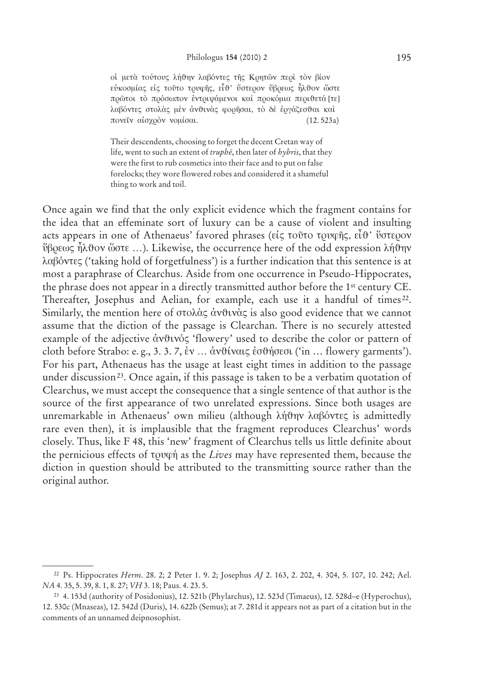οί μετά τούτους λήθην λαβόντες της Κρητών περί τον βίον εύκοσμίας είς τούτο τρυφής, είθ' ύστερον ύβρεως ήλθον ώστε πρώτοι τὸ πρόσωπον ἐντριψάμενοι καὶ προκόμια περιθετά [τε] λαβόντες στολάς μέν άνθινάς φορήσαι, το δέ έργάζεσθαι καί πονείν αίσχρον νομίσαι.  $(12.523a)$ 

Their descendents, choosing to forget the decent Cretan way of life, went to such an extent of truphe, then later of hybris, that they were the first to rub cosmetics into their face and to put on false forelocks; they wore flowered robes and considered it a shameful thing to work and toil.

Once again we find that the only explicit evidence which the fragment contains for the idea that an effeminate sort of luxury can be a cause of violent and insulting acts appears in one of Athenaeus' favored phrases (είς τοῦτο τρυφῆς, εἶθ' ὕστερον  $\mathring{\nu}$ βρεως ήλθον ὥστε ...). Likewise, the occurrence here of the odd expression λήθην λαβόντες ('taking hold of forgetfulness') is a further indication that this sentence is at most a paraphrase of Clearchus. Aside from one occurrence in Pseudo-Hippocrates, the phrase does not appear in a directly transmitted author before the 1<sup>st</sup> century CE. Thereafter, Josephus and Aelian, for example, each use it a handful of times<sup>22</sup>. Similarly, the mention here of  $\sigma \in \partial \lambda \alpha \in \partial \nu$  and  $\alpha \in \partial \alpha$  is also good evidence that we cannot assume that the diction of the passage is Clearchan. There is no securely attested example of the adjective ἀνθινός 'flowery' used to describe the color or pattern of cloth before Strabo: e.g., 3.3.7, έν ... άνθίναις έσθήσεσι ('in ... flowery garments'). For his part, Athenaeus has the usage at least eight times in addition to the passage under discussion<sup>23</sup>. Once again, if this passage is taken to be a verbatim quotation of Clearchus, we must accept the consequence that a single sentence of that author is the source of the first appearance of two unrelated expressions. Since both usages are unremarkable in Athenaeus' own milieu (although λήθην λαβόντες is admittedly rare even then), it is implausible that the fragment reproduces Clearchus' words closely. Thus, like F 48, this 'new' fragment of Clearchus tells us little definite about the pernicious effects of τουφή as the Lives may have represented them, because the diction in question should be attributed to the transmitting source rather than the original author.

<sup>&</sup>lt;sup>22</sup> Ps. Hippocrates Herm. 28. 2; 2 Peter 1. 9. 2; Josephus AJ 2. 163, 2. 202, 4. 304, 5. 107, 10. 242; Ael. NA 4. 35, 5. 39, 8. 1, 8. 27; VH 3. 18; Paus. 4. 23. 5.

<sup>&</sup>lt;sup>23</sup> 4. 153d (authority of Posidonius), 12. 521b (Phylarchus), 12. 523d (Timaeus), 12. 528d-e (Hyperochus), 12.530c (Mnaseas), 12.542d (Duris), 14.622b (Semus); at 7.281d it appears not as part of a citation but in the comments of an unnamed deipnosophist.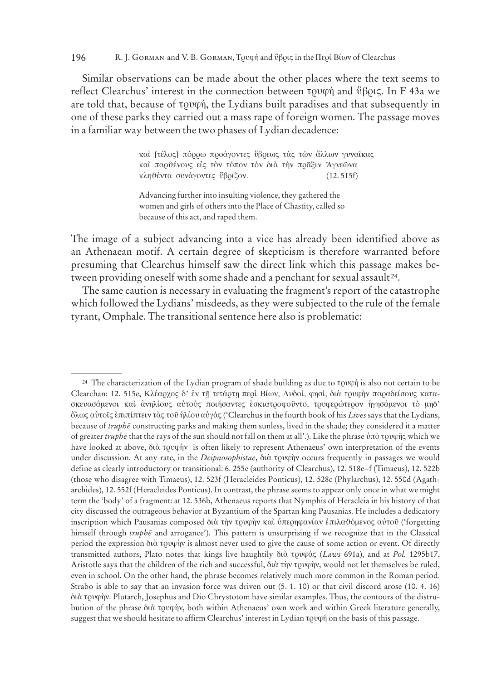#### 196 R. J. GORMAN and V. B. GORMAN, Τρυφή and ύβρις in the Περὶ Βίων of Clearchus

Similar observations can be made about the other places where the text seems to reflect Clearchus' interest in the connection between  $\tau$ 0v $\varphi$  $\eta$  and  $\vartheta$  $\beta$ 0v $\varsigma$ . In F 43a we are told that, because of  $\tau$ ov $\varphi$ *n*, the Lydians built paradises and that subsequently in one of these parks they carried out a mass rape of foreign women. The passage moves in a familiar way between the two phases of Lydian decadence:

> καὶ [τέλος] πόρρω προάγοντες ὕβρεως τὰς τῶν ἄλλων γυναῖκας καί παρθένους είς τὸν τόπον τὸν διὰ τὴν πρᾶξιν Άγνεῶνα  $\kappa \lambda \eta \vartheta$ έντα συνάγοντες ΰβριζον. (12. 515f)

Advancing further into insulting violence, they gathered the women and girls of others into the Place of Chastity, called so because of this act, and raped them.

The image of a subject advancing into a vice has already been identified above as an Athenaean motif. A certain degree of skepticism is therefore warranted before presuming that Clearchus himself saw the direct link which this passage makes between providing oneself with some shade and a penchant for sexual assault 24.

The same caution is necessary in evaluating the fragment's report of the catastrophe which followed the Lydians' misdeeds, as they were subjected to the rule of the female tyrant, Omphale. The transitional sentence here also is problematic:

 $24$  The characterization of the Lydian program of shade building as due to  $\tau$  to  $\psi$  is also not certain to be Clearchan: 12. 515e, Κλέαρχος δ' έν τῆ τετάρτη περὶ Βίων, Λυδοί, φησί, διὰ τρυφὴν παραδείσους κατασκευασάμενοι και ανηλίους αυτούς ποιήσαντες εσκιατροφούντο, τρυφερώτερον ηγησάμενοι το μηδ' oçlwv autoîv e ¬ ¬pipíptein tàv toû h™líou au¬gáv ('Clearchus in the fourth book of his *Lives* says that the Lydians, because of *truphe* constructing parks and making them sunless, lived in the shade; they considered it a matter of greater *truphē* that the rays of the sun should not fall on them at all'.). Like the phrase ύπὸ τρυφῆς which we have looked at above, διὰ τρυφὴν is often likely to represent Athenaeus' own interpretation of the events under discussion. At any rate, in the *Deipnosophistae*, διὰ τρυφὴν occurs frequently in passages we would define as clearly introductory or transitional: 6. 255e (authority of Clearchus), 12. 518e–f (Timaeus), 12. 522b (those who disagree with Timaeus), 12. 523f (Heracleides Ponticus), 12. 528c (Phylarchus), 12. 550d (Agatharchides), 12. 552f (Heracleides Ponticus). In contrast, the phrase seems to appear only once in what we might term the 'body' of a fragment: at 12. 536b, Athenaeus reports that Nymphis of Heracleia in his history of that city discussed the outrageous behavior at Byzantium of the Spartan king Pausanias. He includes a dedicatory inscription which Pausanias composed διὰ τὴν τρυφὴν καὶ ὑπερηφανίαν ἐπιλαθόμενος αὐτοῦ ('forgetting himself through *truphe* and arrogance'). This pattern is unsurprising if we recognize that in the Classical period the expression  $\delta u \dot{\alpha}$  to  $\gamma \dot{\beta} u$  is almost never used to give the cause of some action or event. Of directly transmitted authors, Plato notes that kings live haughtily διὰ τρυφάς (*Laws* 691a), and at *Pol.* 1295b17, Aristotle says that the children of the rich and successful, διὰ τὴν τρυφὴν, would not let themselves be ruled, even in school. On the other hand, the phrase becomes relatively much more common in the Roman period. Strabo is able to say that an invasion force was driven out (5. 1. 10) or that civil discord arose (10. 4. 16) dià trufæn. Plutarch, Josephus and Dio Chrystotom have similar examples. Thus, the contours of the distrubution of the phrase διὰ τρυφὴν, both within Athenaeus' own work and within Greek literature generally, suggest that we should hesitate to affirm Clearchus' interest in Lydian  $\tau$ ovq $\acute{\eta}$  on the basis of this passage.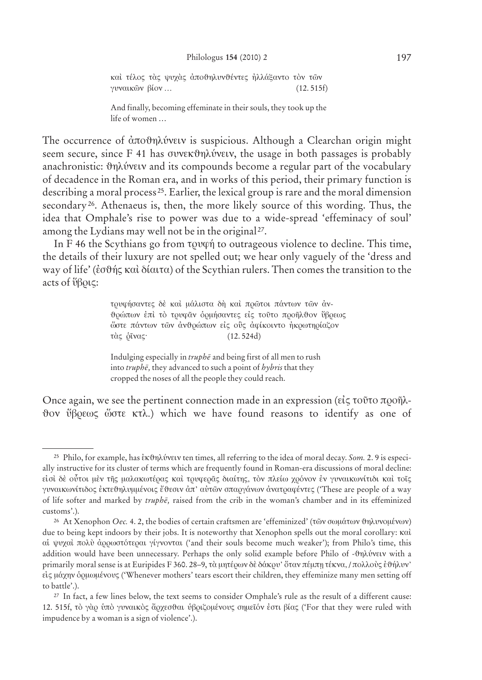καὶ τέλος τὰς ψυχὰς ἀποθηλυνθέντες ἠλλάξαντο τὸν τῶν  $\gamma$ vvalk $\tilde{\omega}$ v  $\beta$ íov … (12. 515f)

And finally, becoming effeminate in their souls, they took up the life of women …

The occurrence of άποθηλύνειν is suspicious. Although a Clearchan origin might seem secure, since  $F$  41 has συνεκθηλύνειν, the usage in both passages is probably anachronistic:  $\vartheta$ ηλύνειν and its compounds become a regular part of the vocabulary of decadence in the Roman era, and in works of this period, their primary function is describing a moral process 25. Earlier, the lexical group is rare and the moral dimension secondary<sup>26</sup>. Athenaeus is, then, the more likely source of this wording. Thus, the idea that Omphale's rise to power was due to a wide-spread 'effeminacy of soul' among the Lydians may well not be in the original 27.

In F 46 the Scythians go from  $\tau$  to outrageous violence to decline. This time, the details of their luxury are not spelled out; we hear only vaguely of the 'dress and way of life' (έσθής καὶ δίαιτα) of the Scythian rulers. Then comes the transition to the acts of  $\mathcal{W}(\mathsf{B} \mathsf{O} \mathsf{C})$ :

> τρυφήσαντες δέ και μάλιστα δή και πρώτοι πάντων των άνθρώπων έπὶ τὸ τρυφᾶν ὁρμήσαντες εἰς τοῦτο προῆλθον ὕβρεως ώστε πάντων των ανθρώπων είς ούς αφίκοιντο ήκρωτηρίαζον τὰς <u>δ</u>ῖνας· (12.524d)

Indulging especially in *truphe* and being first of all men to rush into *truphe*, they advanced to such a point of *hybris* that they cropped the noses of all the people they could reach.

Once again, we see the pertinent connection made in an expression ( $\epsilon\zeta$  τοῦτο προῆλθον ύβρεως ώστε κτλ.) which we have found reasons to identify as one of

<sup>&</sup>lt;sup>25</sup> Philo, for example, has εκθηλύνειν ten times, all referring to the idea of moral decay. *Som.* 2. 9 is especially instructive for its cluster of terms which are frequently found in Roman-era discussions of moral decline: είσι δέ ούτοι μέν τῆς μαλακωτέρας και τρυφερᾶς διαίτης, τον πλείω χρόνον εν γυναικωνίτιδι και τοῖς γυναικωνίτιδος έκτεθηλυμμένοις έθεσιν άπ' αὐτῶν σπαργάνων ανατραφέντες ('These are people of a way of life softer and marked by *truphe*, raised from the crib in the woman's chamber and in its effeminized customs'.).

<sup>&</sup>lt;sup>26</sup> At Xenophon *Oec.* 4. 2, the bodies of certain craftsmen are 'effeminized' (τῶν σωμάτων θηλυνομένων) due to being kept indoors by their jobs. It is noteworthy that Xenophon spells out the moral corollary: κaì ai ψυχαὶ πολύ ἀρρωστότεραι γίγνονται ('and their souls become much weaker'); from Philo's time, this addition would have been unnecessary. Perhaps the only solid example before Philo of -0ηλύνειν with a primarily moral sense is at Euripides F 360. 28–9, τὰ μητέρων δὲ δάκρυ' ὅταν πέμπη τέκνα, / πολλοὺς ἐθήλυν' είς μάχην όρμωμένους ('Whenever mothers' tears escort their children, they effeminize many men setting off to battle'.).

<sup>27</sup> In fact, a few lines below, the text seems to consider Omphale's rule as the result of a different cause: 12. 515f, τὸ γὰρ υπὸ γυναικὸς ἄρχεσθαι υβριζομένους σημεῖόν ἐστι βίας ('For that they were ruled with impudence by a woman is a sign of violence'.).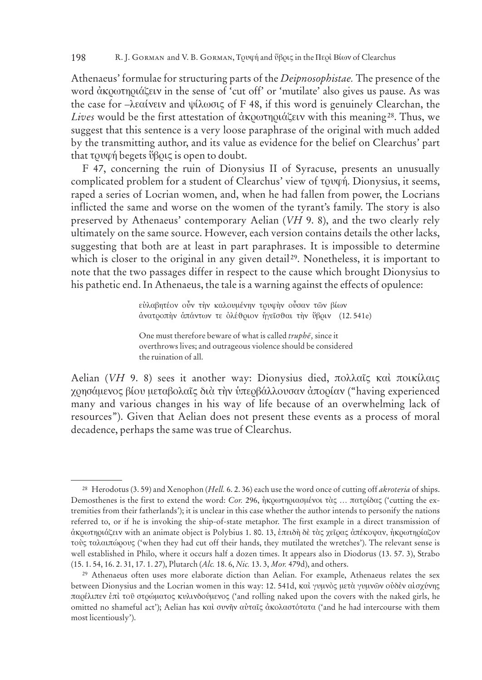Athenaeus' formulae for structuring parts of the *Deipnosophistae.* The presence of the word ἀκρωτηριάζειν in the sense of 'cut off' or 'mutilate' also gives us pause. As was the case for  $-\lambda \epsilon \alpha$ *(verv* and  $\psi \lambda \omega \sigma \zeta$  of F 48, if this word is genuinely Clearchan, the *Lives* would be the first attestation of ἀκρωτηριάζειν with this meaning<sup>28</sup>. Thus, we suggest that this sentence is a very loose paraphrase of the original with much added by the transmitting author, and its value as evidence for the belief on Clearchus' part that  $\tau \rho \psi$  begets  $\psi \beta \rho \psi$  is open to doubt.

F 47, concerning the ruin of Dionysius II of Syracuse, presents an unusually complicated problem for a student of Clearchus' view of tovon. Dionysius, it seems, raped a series of Locrian women, and, when he had fallen from power, the Locrians inflicted the same and worse on the women of the tyrant's family. The story is also preserved by Athenaeus' contemporary Aelian (*VH* 9. 8), and the two clearly rely ultimately on the same source. However, each version contains details the other lacks, suggesting that both are at least in part paraphrases. It is impossible to determine which is closer to the original in any given detail<sup>29</sup>. Nonetheless, it is important to note that the two passages differ in respect to the cause which brought Dionysius to his pathetic end. In Athenaeus, the tale is a warning against the effects of opulence:

> εύλαβητέον οὖν τὴν καλουμένην τρυφὴν οὖσαν τῶν βίων άνατροπήν άπάντων τε ολέθριον ήγεῖσθαι τὴν ὕβριν (12.541e)

One must therefore beware of what is called *truphe*, since it overthrows lives; and outrageous violence should be considered the ruination of all.

Aelian (VH 9. 8) sees it another way: Dionysius died, πολλαΐς καὶ ποικίλαις χρησάμενος βίου μεταβολαῖς διὰ τὴν ὑπερβάλλουσαν ἀπορίαν ("having experienced many and various changes in his way of life because of an overwhelming lack of resources"). Given that Aelian does not present these events as a process of moral decadence, perhaps the same was true of Clearchus.

<sup>28</sup> Herodotus (3. 59) and Xenophon (*Hell.* 6. 2. 36) each use the word once of cutting off *akroteria* of ships. Demosthenes is the first to extend the word: *Cor.* 296, η κρωτηριασμένοι τὰς ... πατρίδας ('cutting the extremities from their fatherlands'); it is unclear in this case whether the author intends to personify the nations referred to, or if he is invoking the ship-of-state metaphor. The first example in a direct transmission of dκοω τηριάζειν with an animate object is Polybius 1. 80. 13, επειδή δε τας χεῖρας ἀπέκοψαν, ἠκρω τηρίαζον τούς ταλαιπώρους ('when they had cut off their hands, they mutilated the wretches'). The relevant sense is well established in Philo, where it occurs half a dozen times. It appears also in Diodorus (13. 57. 3), Strabo (15. 1. 54, 16. 2. 31, 17. 1. 27), Plutarch (*Alc.* 18. 6, *Nic.* 13. 3, *Mor.* 479d), and others.

<sup>29</sup> Athenaeus often uses more elaborate diction than Aelian. For example, Athenaeus relates the sex between Dionysius and the Locrian women in this way: 12. 541d, καὶ γυμνὸς μετὰ γυμνῶν οὐδὲν αἰσχύνης παρέλιπεν επί τοῦ στρώματος κυλινδούμενος ('and rolling naked upon the covers with the naked girls, he omitted no shameful act'); Aelian has καὶ συνῆν αὐταῖς ἀκολαστότατα ('and he had intercourse with them most licentiously').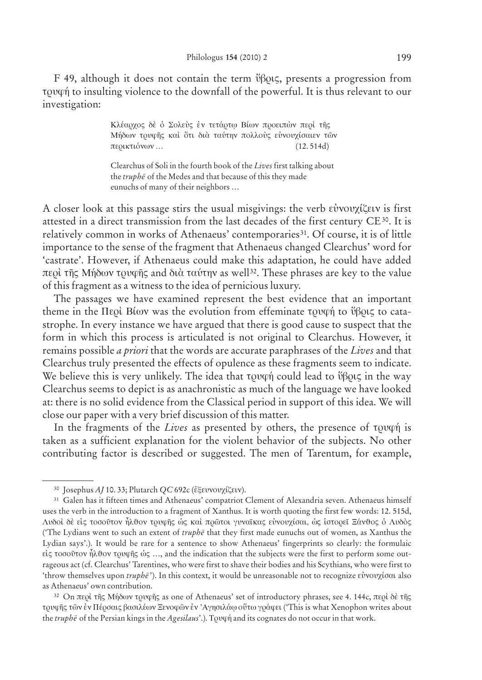F 49, although it does not contain the term  $\vartheta\beta_0$ , presents a progression from τρυφή to insulting violence to the downfall of the powerful. It is thus relevant to our investigation:

> Kλέαρχος δε ο Σολεύς εν τετάρτω Βίων προειπών περί της Μήδων τρυφῆς καὶ ὅτι διὰ ταύτην πολλούς εὐνουχίσαιεν τῶν  $\pi$ ερικτιόνων … (12.514d)

Clearchus of Soli in the fourth book of the *Lives* first talking about the *truphe* of the Medes and that because of this they made eunuchs of many of their neighbors …

A closer look at this passage stirs the usual misgivings: the verb  $\epsilon \dot{v}$ vov $\chi(\xi \epsilon v)$  is first attested in a direct transmission from the last decades of the first century  $CE^{30}$ . It is relatively common in works of Athenaeus' contemporaries<sup>31</sup>. Of course, it is of little importance to the sense of the fragment that Athenaeus changed Clearchus' word for 'castrate'. However, if Athenaeus could make this adaptation, he could have added περὶ τῆς Μήδων τρυφῆς and διὰ ταύτην as well<sup>32</sup>. These phrases are key to the value of this fragment as a witness to the idea of pernicious luxury.

The passages we have examined represent the best evidence that an important theme in the  $\Pi$ ερί Βίων was the evolution from effeminate τρυφή to ύβρις to catastrophe. In every instance we have argued that there is good cause to suspect that the form in which this process is articulated is not original to Clearchus. However, it remains possible *a priori* that the words are accurate paraphrases of the *Lives* and that Clearchus truly presented the effects of opulence as these fragments seem to indicate. We believe this is very unlikely. The idea that  $\tau \rho \psi$  could lead to  $\psi \rho \psi$  in the way Clearchus seems to depict is as anachronistic as much of the language we have looked at: there is no solid evidence from the Classical period in support of this idea. We will close our paper with a very brief discussion of this matter.

In the fragments of the *Lives* as presented by others, the presence of towan is taken as a sufficient explanation for the violent behavior of the subjects. No other contributing factor is described or suggested. The men of Tarentum, for example,

32 On περὶ τῆς Μήδων τρυφῆς as one of Athenaeus' set of introductory phrases, see 4. 144c, περὶ δὲ τῆς τρυφής τῶν ἐν Πέρσαις βασιλέων Ξενοφῶν ἐν 'Αγησιλάφ οὕτω γράφει ('This is what Xenophon writes about the *truphe* of the Persian kings in the *Agesilaus*'.). Tover in and its cognates do not occur in that work.

<sup>&</sup>lt;sup>30</sup> Josephus *AJ* 10. 33; Plutarch *QC* 692c (εξευνουχίζειν).

<sup>31</sup> Galen has it fifteen times and Athenaeus' compatriot Clement of Alexandria seven. Athenaeus himself uses the verb in the introduction to a fragment of Xanthus. It is worth quoting the first few words: 12. 515d, Λυδοί δε είς τοσοῦτον ἦλθον τρυφῆς ως και πρῶτοι γυναῖκας εὐνουχίσαι, ως ιστορεῖ Ξάνθος ο Λυδος ('The Lydians went to such an extent of *truphe¯* that they first made eunuchs out of women, as Xanthus the Lydian says'.). It would be rare for a sentence to show Athenaeus' fingerprints so clearly: the formulaic  $ε$ ίς τοσοῦτον ἦλθον τρυφῆς ὡς ..., and the indication that the subjects were the first to perform some outrageous act (cf. Clearchus' Tarentines, who were first to shave their bodies and his Scythians, who were first to 'throw themselves upon *truphē*'). In this context, it would be unreasonable not to recognize εὐνουχίσαι also as Athenaeus' own contribution.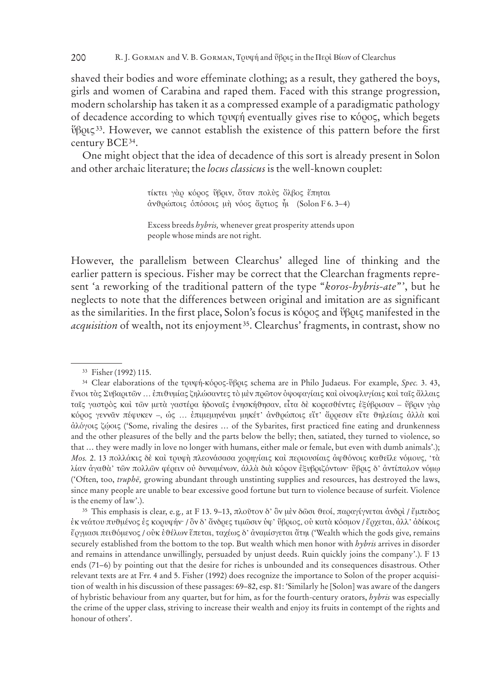#### R. J. GORMAN and V. B. GORMAN, TOUQÝ and ὕβοις in the Περί Βίων of Clearchus 200

shaved their bodies and wore effeminate clothing; as a result, they gathered the boys, girls and women of Carabina and raped them. Faced with this strange progression, modern scholarship has taken it as a compressed example of a paradigmatic pathology of decadence according to which τουφή eventually gives rise to κόρος, which begets ΰβρις<sup>33</sup>. However, we cannot establish the existence of this pattern before the first century BCE<sup>34</sup>.

One might object that the idea of decadence of this sort is already present in Solon and other archaic literature; the locus classicus is the well-known couplet:

> τίκτει γάρ κόρος ύβριν, όταν πολύς όλβος έπηται άνθρώποις όπόσοις μή νόος ἄρτιος ἦι (Solon F 6.3-4)

However, the parallelism between Clearchus' alleged line of thinking and the earlier pattern is specious. Fisher may be correct that the Clearchan fragments represent 'a reworking of the traditional pattern of the type "koros-hybris-ate", but he neglects to note that the differences between original and imitation are as significant as the similarities. In the first place, Solon's focus is  $\kappa$ 600 $\zeta$  and  $\beta$  $\beta$ 0 $\zeta$  manifested in the *acquisition* of wealth, not its enjoyment<sup>35</sup>. Clearchus' fragments, in contrast, show no

<sup>35</sup> This emphasis is clear, e.g., at F 13. 9–13, πλοῦτον δ' ὃν μὲν δῶσι θεοί, παραγίγνεται ἀνδρὶ / ἔμπεδος έκ νεάτου πυθμένος ές κορυφήν· / ὃν δ' ἄνδρες τιμῶσιν ὑφ' ὕβριος, οὐ κατὰ κόσμον / ἔρχεται, ἀλλ' ἀδίκοις έργμασι πειθόμενος / ούκ έθέλων έπεται, ταχέως δ' άναμίσγεται άτηι ('Wealth which the gods give, remains securely established from the bottom to the top. But wealth which men honor with hybris arrives in disorder and remains in attendance unwillingly, persuaded by unjust deeds. Ruin quickly joins the company'.). F 13 ends (71–6) by pointing out that the desire for riches is unbounded and its consequences disastrous. Other relevant texts are at Frr. 4 and 5. Fisher (1992) does recognize the importance to Solon of the proper acquisition of wealth in his discussion of these passages: 69–82, esp. 81: 'Similarly he [Solon] was aware of the dangers of hybristic behaviour from any quarter, but for him, as for the fourth-century orators, *hybris* was especially the crime of the upper class, striving to increase their wealth and enjoy its fruits in contempt of the rights and honour of others'.

Excess breeds hybris, whenever great prosperity attends upon people whose minds are not right.

<sup>&</sup>lt;sup>33</sup> Fisher (1992) 115.

<sup>&</sup>lt;sup>34</sup> Clear elaborations of the τρυφή-κόρος-ὕβρις schema are in Philo Judaeus. For example, Spec. 3. 43, ένιοι τὰς Συβαριτῶν ... ἐπιθυμίας ξηλώσαντες τὸ μὲν πρῶτον ὀψοφαγίαις καὶ οἰνοφλυγίαις καὶ ταῖς ἄλλαις ταϊς γαστρός καί τῶν μετά γαστέρα ήδοναϊς ένησκήθησαν, εἶτα δὲ κορεσθέντες ἐξύβρισαν - ὕβριν γὰρ κόρος γεννάν πέφυκεν -, ώς ... επιμεμηνέναι μηκέτ' άνθρώποις είτ' άρρεσιν είτε θηλείαις άλλά και άλόγοις ζώοις ('Some, rivaling the desires ... of the Sybarites, first practiced fine eating and drunkenness and the other pleasures of the belly and the parts below the belly; then, satiated, they turned to violence, so that ... they were madly in love no longer with humans, either male or female, but even with dumb animals'.); Mos. 2. 13 πολλάκις δε και τρυφή πλεονάσασα χορηγίαις και περιουσίαις άφθόνοις καθεΐλε νόμους, 'τα λίαν άγαθὰ' τῶν πολλῶν φέρειν οὐ δυναμένων, ἀλλὰ διὰ κόρον ἐξυβριζόντων· ὕβρις δ' ἀντίπαλον νόμφ ('Often, too, truphē, growing abundant through unstinting supplies and resources, has destroyed the laws, since many people are unable to bear excessive good fortune but turn to violence because of surfeit. Violence is the enemy of law'.).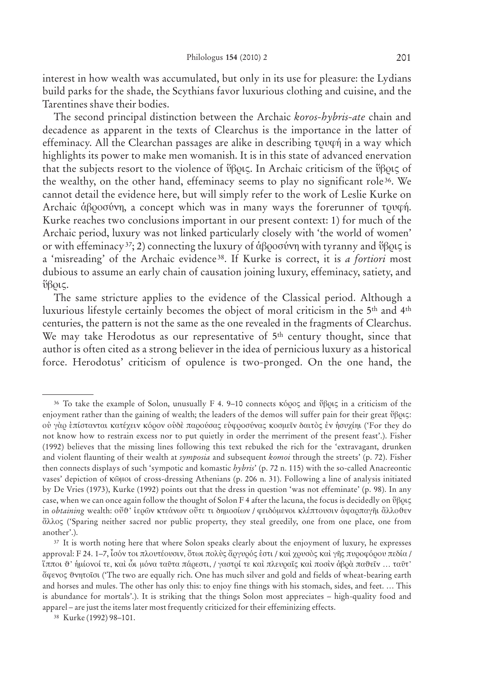interest in how wealth was accumulated, but only in its use for pleasure: the Lydians build parks for the shade, the Scythians favor luxurious clothing and cuisine, and the Tarentines shave their bodies.

The second principal distinction between the Archaic *koros-hybris-ate* chain and decadence as apparent in the texts of Clearchus is the importance in the latter of effeminacy. All the Clearchan passages are alike in describing  $\tau$  ov $\varphi$  in a way which highlights its power to make men womanish. It is in this state of advanced enervation that the subjects resort to the violence of  $\mathfrak{vBox}$ . In Archaic criticism of the  $\mathfrak{vBox}$  of the wealthy, on the other hand, effeminacy seems to play no significant role<sup>36</sup>. We cannot detail the evidence here, but will simply refer to the work of Leslie Kurke on Archaic  $\dot{\alpha} \beta \rho$  oo  $\dot{\alpha} \gamma$ , a concept which was in many ways the forerunner of to  $\alpha \gamma$ . Kurke reaches two conclusions important in our present context: 1) for much of the Archaic period, luxury was not linked particularly closely with 'the world of women' or with effeminacy<sup>37</sup>; 2) connecting the luxury of  $\alpha\beta$  $\alpha\beta\gamma$  with tyranny and  $\beta\beta\alpha\zeta$  is a 'misreading' of the Archaic evidence 38. If Kurke is correct, it is *a fortiori* most dubious to assume an early chain of causation joining luxury, effeminacy, satiety, and  $\mathring{\text{U}}$ βοις.

The same stricture applies to the evidence of the Classical period. Although a luxurious lifestyle certainly becomes the object of moral criticism in the 5th and 4th centuries, the pattern is not the same as the one revealed in the fragments of Clearchus. We may take Herodotus as our representative of 5<sup>th</sup> century thought, since that author is often cited as a strong believer in the idea of pernicious luxury as a historical force. Herodotus' criticism of opulence is two-pronged. On the one hand, the

<sup>&</sup>lt;sup>36</sup> To take the example of Solon, unusually F 4. 9–10 connects κόρος and ύβρις in a criticism of the enjoyment rather than the gaining of wealth; the leaders of the demos will suffer pain for their great  $\mathfrak{g}_{\beta}$ 0 oυ γάο επίστανται κατέχειν κόρον ουδέ παρούσας ευφροσύνας κοσμεῖν δαιτὸς ἐν ήσυχίηι ('For they do not know how to restrain excess nor to put quietly in order the merriment of the present feast'.). Fisher (1992) believes that the missing lines following this text rebuked the rich for the 'extravagant, drunken and violent flaunting of their wealth at *symposia* and subsequent *komoi* through the streets' (p. 72). Fisher then connects displays of such 'sympotic and komastic *hybris*' (p. 72 n. 115) with the so-called Anacreontic vases' depiction of κῶμοι of cross-dressing Athenians (p. 206 n. 31). Following a line of analysis initiated by De Vries (1973), Kurke (1992) points out that the dress in question 'was not effeminate' (p. 98). In any case, when we can once again follow the thought of Solon F 4 after the lacuna, the focus is decidedly on  $\mathfrak{v}$  $\beta$  $\alpha$ in *obtaining* wealth: ovv' iερών κτεάνων ούτε τι δημοσίων / φειδόμενοι κλέπτουσιν αφαρπαγῆι ἄλλοντεν άλλος ('Sparing neither sacred nor public property, they steal greedily, one from one place, one from another'.).

<sup>&</sup>lt;sup>37</sup> It is worth noting here that where Solon speaks clearly about the enjoyment of luxury, he expresses approval: F 24. 1–7, ίσόν τοι πλουτέουσιν, ότωι πολύς ἄργυρός ἐστι / καὶ χρυσὸς καὶ γῆς πυροφόρου πεδία /  $i$ πποι  $\vartheta'$  ἡμίονοί τε, καὶ ὦι μόνα ταῦτα πάρεστι, / γαστρί τε καὶ πλευραῖς καὶ ποσὶν ἀβρὰ παθεῖν … ταῦτ' άφενος θνητοῖσι ('The two are equally rich. One has much silver and gold and fields of wheat-bearing earth and horses and mules. The other has only this: to enjoy fine things with his stomach, sides, and feet. … This is abundance for mortals'.). It is striking that the things Solon most appreciates – high-quality food and apparel – are just the items later most frequently criticized for their effeminizing effects.

<sup>38</sup> Kurke (1992) 98–101.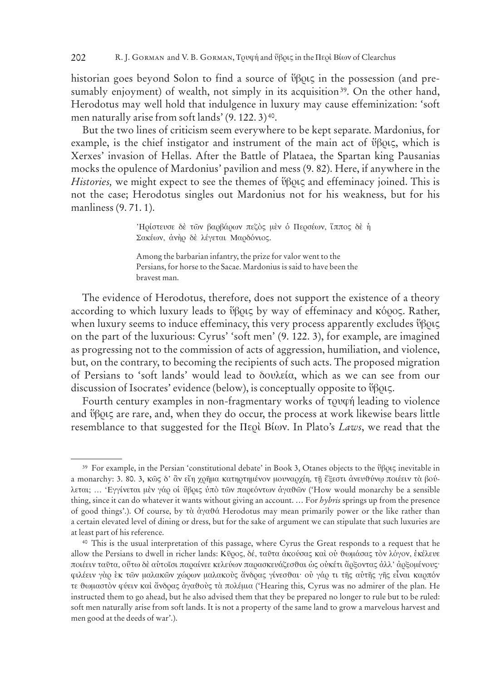historian goes beyond Solon to find a source of  $\mathfrak{vBox}$  in the possession (and presumably enjoyment) of wealth, not simply in its acquisition<sup>39</sup>. On the other hand, Herodotus may well hold that indulgence in luxury may cause effeminization: 'soft men naturally arise from soft lands' (9. 122. 3) 40.

But the two lines of criticism seem everywhere to be kept separate. Mardonius, for example, is the chief instigator and instrument of the main act of  $\mathfrak{vBox}$ , which is Xerxes' invasion of Hellas. After the Battle of Plataea, the Spartan king Pausanias mocks the opulence of Mardonius' pavilion and mess (9. 82). Here, if anywhere in the *Histories*, we might expect to see the themes of  $\mathfrak{B}$ OU<sub>S</sub> and effeminacy joined. This is not the case; Herodotus singles out Mardonius not for his weakness, but for his manliness (9. 71. 1).

> 'Ηρίστευσε δέ των βαρβάρων πεζός μέν ό Περσέων, ϊππος δέ ή Σακέων, άνηρ δε λέγεται Μαρδόνιος.

Among the barbarian infantry, the prize for valor went to the Persians, for horse to the Sacae. Mardonius is said to have been the bravest man.

The evidence of Herodotus, therefore, does not support the existence of a theory according to which luxury leads to ύβρις by way of effeminacy and κόρος. Rather, when luxury seems to induce effeminacy, this very process apparently excludes  $\mathfrak{v}$  $\beta$  $\alpha$ on the part of the luxurious: Cyrus' 'soft men' (9. 122. 3), for example, are imagined as progressing not to the commission of acts of aggression, humiliation, and violence, but, on the contrary, to becoming the recipients of such acts. The proposed migration of Persians to 'soft lands' would lead to  $\delta$ ov $\lambda$ eía, which as we can see from our discussion of Isocrates' evidence (below), is conceptually opposite to  $\mathfrak{y}$  $\beta$  $\alpha \zeta$ .

Fourth century examples in non-fragmentary works of toward leading to violence and  $\mathfrak{v}$  $\beta$ QU $\zeta$  are rare, and, when they do occur, the process at work likewise bears little resemblance to that suggested for the Περὶ Βίων. In Plato's *Laws*, we read that the

<sup>&</sup>lt;sup>39</sup> For example, in the Persian 'constitutional debate' in Book 3, Otanes objects to the  $\mathfrak{r}$  $\beta$ 0t $\varsigma$  inevitable in a monarchy: 3. 80. 3, κῶς δ' ἂν εἴη χρῆμα κατηρτημένον μουναρχίη, τῆ ἔξεστι ἀνευθύνῳ ποιέειν τὰ βούλεται; ... 'Εγγίνεται μεν γάρ οι ΰβρις ύπὸ τῶν παρεόντων αγαθῶν ('How would monarchy be a sensible thing, since it can do whatever it wants without giving an account. … For *hybris* springs up from the presence of good things'.). Of course, by τὰ ἀγαθά Herodotus may mean primarily power or the like rather than a certain elevated level of dining or dress, but for the sake of argument we can stipulate that such luxuries are at least part of his reference.

<sup>40</sup> This is the usual interpretation of this passage, where Cyrus the Great responds to a request that he allow the Persians to dwell in richer lands: Κῦρος, δέ, ταῦτα ἀκούσας καὶ οὐ θωμάσας τὸν λόγον, ἐκέλευε ποιέειν ταῦτα, οὕτω δὲ αὐτοῖσι παραίνεε κελεύων παρασκευάζεσθαι ως οὐκέτι ἄρξοντας ἀλλ' ἀρξομένους· φιλέειν γὰρ ἐκ τῶν μαλακῶν χώρων μαλακοὺς ἄνδρας γίνεσθαι· οὐ γάρ τι τῆς αὐτῆς γῆς εἶναι καρπόν τε θωμαστὸν φύειν καὶ ἄνδρας ἀγαθοὺς τὰ πολέμια ('Hearing this, Cyrus was no admirer of the plan. He instructed them to go ahead, but he also advised them that they be prepared no longer to rule but to be ruled: soft men naturally arise from soft lands. It is not a property of the same land to grow a marvelous harvest and men good at the deeds of war'.).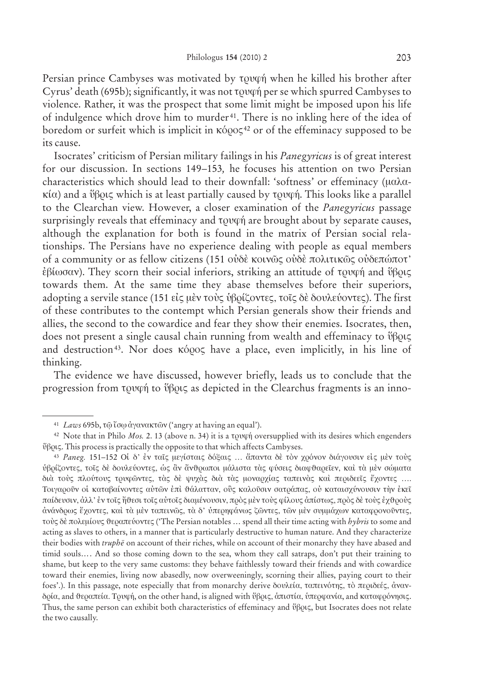Persian prince Cambyses was motivated by to the he killed his brother after Cyrus' death (695b); significantly, it was not  $\tau$  over per se which spurred Cambyses to violence. Rather, it was the prospect that some limit might be imposed upon his life of indulgence which drove him to murder 41. There is no inkling here of the idea of boredom or surfeit which is implicit in  $κ\acute{o}$ <sub>2</sub><sup>42</sup> or of the effeminacy supposed to be its cause.

Isocrates' criticism of Persian military failings in his *Panegyricus* is of great interest for our discussion. In sections 149–153*,* he focuses his attention on two Persian characteristics which should lead to their downfall: 'softness' or effeminacy (mala $κ(α)$  and a ΰβρις which is at least partially caused by τρυφή. This looks like a parallel to the Clearchan view. However, a closer examination of the *Panegyricus* passage surprisingly reveals that effeminacy and  $\tau$ <sub>0</sub> vom are brought about by separate causes, although the explanation for both is found in the matrix of Persian social relationships. The Persians have no experience dealing with people as equal members of a community or as fellow citizens (151 ούδε κοινώς ούδε πολιτικώς ούδεπώποτ'  $\dot{\epsilon}$ βίωσαν). They scorn their social inferiors, striking an attitude of τρυφή and ύβρις towards them. At the same time they abase themselves before their superiors, adopting a servile stance (151 είς μèν τοὺς ὑβρίζοντες, τοῖς δὲ δουλεύοντες). The first of these contributes to the contempt which Persian generals show their friends and allies, the second to the cowardice and fear they show their enemies. Isocrates, then, does not present a single causal chain running from wealth and effeminacy to  $\mathfrak{y}$  $\beta$  $\alpha$ and destruction<sup>43</sup>. Nor does κόρος have a place, even implicitly, in his line of thinking.

The evidence we have discussed, however briefly, leads us to conclude that the progression from  $\tau$ <sup>0</sup>  $\psi$ <sup>6</sup>  $\psi$ <sup>6</sup>  $\psi$ <sup>6</sup> as depicted in the Clearchus fragments is an inno-

<sup>&</sup>lt;sup>41</sup> *Laws* 695b, τῷ ἴσῳ ἀγανακτῶν ('angry at having an equal').

<sup>&</sup>lt;sup>42</sup> Note that in Philo *Mos.* 2. 13 (above n. 34) it is a towph oversupplied with its desires which engenders ύβρις. This process is practically the opposite to that which affects Cambyses.

<sup>&</sup>lt;sup>43</sup> Paneg. 151-152 Oi δ' έν ταῖς μεγίσταις δόξαις ... ἄπαντα δε τὸν χρόνον διάγουσιν είς μεν τους υβρίζοντες, τοῖς δὲ δουλεύοντες, ὡς ἂν ἄνθρωποι μάλιστα τὰς φύσεις διαφθαρεῖεν, καὶ τὰ μὲν σώματα διά τούς πλούτους τρυφῶντες, τὰς δὲ ψυχὰς διὰ τὰς μοναρχίας ταπεινὰς καὶ περιδεεῖς ἔχοντες …. Tοιγαρούν οι καταβαίνοντες αυτών επι θάλατταν, ούς καλούσιν σατράπας, ου καταισχύνουσιν την εκεί παίδευσιν, άλλ' έν τοῖς ἤθεσι τοῖς αὐτοῖς διαμένουσιν, πρὸς μὲν τοὺς φίλους ἀπίστως, πρὸς δὲ τοὺς ἐχθροὺς άνάνδρως έχοντες, και τα μεν ταπεινώς, τα δ' υπερηφάνως ζώντες, τών μεν συμμάχων καταφρονούντες, τούς δὲ πολεμίους θεραπεύοντες ('The Persian notables ... spend all their time acting with *hybris* to some and acting as slaves to others, in a manner that is particularly destructive to human nature. And they characterize their bodies with *truphe* on account of their riches, while on account of their monarchy they have abased and timid souls…. And so those coming down to the sea, whom they call satraps, don't put their training to shame, but keep to the very same customs: they behave faithlessly toward their friends and with cowardice toward their enemies, living now abasedly, now overweeningly, scorning their allies, paying court to their foes'.). In this passage, note especially that from monarchy derive  $\delta$ ov $\delta \alpha$  ταπεινότης, τὸ περιδεές, ἀνανδρία, and θεραπεία. Tρυφή, on the other hand, is aligned with ύβρις, άπιστία, υπερφανία, and καταφρόνησις. Thus, the same person can exhibit both characteristics of effeminacy and  $\vartheta$ Botc, but Isocrates does not relate the two causally.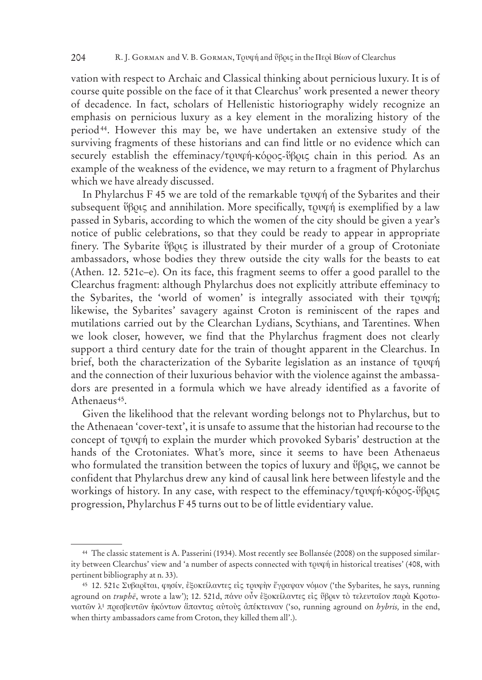vation with respect to Archaic and Classical thinking about pernicious luxury. It is of course quite possible on the face of it that Clearchus' work presented a newer theory of decadence. In fact, scholars of Hellenistic historiography widely recognize an emphasis on pernicious luxury as a key element in the moralizing history of the period44. However this may be, we have undertaken an extensive study of the surviving fragments of these historians and can find little or no evidence which can securely establish the effeminacy/τουφή-κόρος-ύβρις chain in this period. As an example of the weakness of the evidence, we may return to a fragment of Phylarchus which we have already discussed.

In Phylarchus F 45 we are told of the remarkable  $\tau$  to  $\psi$  of the Sybarites and their subsequent  $\mathfrak{g}$  $\beta$ ous and annihilation. More specifically,  $\tau$ ov $\varphi$  is exemplified by a law passed in Sybaris, according to which the women of the city should be given a year's notice of public celebrations, so that they could be ready to appear in appropriate finery. The Sybarite  $\mathfrak{vBox}$  is illustrated by their murder of a group of Crotoniate ambassadors, whose bodies they threw outside the city walls for the beasts to eat (Athen. 12. 521c–e). On its face, this fragment seems to offer a good parallel to the Clearchus fragment: although Phylarchus does not explicitly attribute effeminacy to the Sybarites, the 'world of women' is integrally associated with their  $\tau$ ov $\varphi$ *i*; likewise, the Sybarites' savagery against Croton is reminiscent of the rapes and mutilations carried out by the Clearchan Lydians, Scythians, and Tarentines. When we look closer, however, we find that the Phylarchus fragment does not clearly support a third century date for the train of thought apparent in the Clearchus. In brief, both the characterization of the Sybarite legislation as an instance of  $\tau \rho \nu \varphi \eta$ and the connection of their luxurious behavior with the violence against the ambassadors are presented in a formula which we have already identified as a favorite of Athenaeus<sup>45</sup>.

Given the likelihood that the relevant wording belongs not to Phylarchus, but to the Athenaean 'cover-text', it is unsafe to assume that the historian had recourse to the concept of towph to explain the murder which provoked Sybaris' destruction at the hands of the Crotoniates. What's more, since it seems to have been Athenaeus who formulated the transition between the topics of luxury and  $\mathfrak{v}$  $\beta$ ols, we cannot be confident that Phylarchus drew any kind of causal link here between lifestyle and the workings of history. In any case, with respect to the effeminacy/τουφή-κόρος-ὕβοις progression, Phylarchus F 45 turns out to be of little evidentiary value.

<sup>44</sup> The classic statement is A. Passerini (1934). Most recently see Bollansée (2008) on the supposed similarity between Clearchus' view and 'a number of aspects connected with  $\tau$ ovq $\acute{\eta}$  in historical treatises' (408, with pertinent bibliography at n. 33).

<sup>&</sup>lt;sup>45</sup> 12. 521c Συβαρΐται, φησίν, έξοκείλαντες είς τρυφήν έγραψαν νόμον ('the Sybarites, he says, running aground on *truphē*, wrote a law'); 12. 521d, πάνυ οὖν εξοκείλαντες είς ΰβριν τὸ τελευταῖον παρὰ Κροτωνιατῶν λ<sup>ι</sup> πρεσβευτῶν ἡκόντων ἄπαντας αὐτοὺς ἀπέκτειναν ('so, running aground on *hybris*, in the end, when thirty ambassadors came from Croton, they killed them all'.).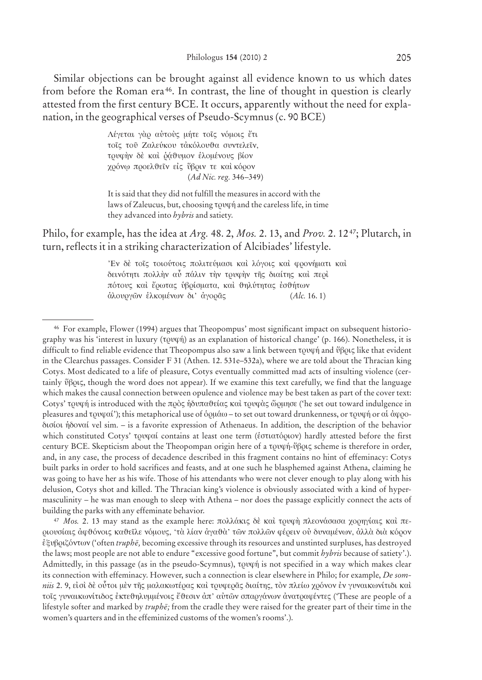Similar objections can be brought against all evidence known to us which dates from before the Roman era 46. In contrast, the line of thought in question is clearly attested from the first century BCE. It occurs, apparently without the need for explanation, in the geographical verses of Pseudo-Scymnus (c. 90 BCE)

> Λέγεται γάρ αύτούς μήτε τοΐς νόμοις έτι τοΐς τοῦ Ζαλεύκου τἀκόλουθα συντελεῖν, τρυφήν δε και ράθυμον ελομένους βίον χρόνω προελθεΐν είς ύβριν τε και κόρον (*Ad Nic. reg.* 346–349)

It is said that they did not fulfill the measures in accord with the laws of Zaleucus, but, choosing  $\tau$  and the careless life, in time they advanced into *hybris* and satiety.

Philo, for example, has the idea at *Arg.* 48. 2, *Mos.* 2. 13, and *Prov.* 2. 1247; Plutarch, in turn, reflects it in a striking characterization of Alcibiades' lifestyle.

> 'Ev δέ τοῖς τοιούτοις πολιτεύμασι καὶ λόγοις καὶ φρονήματι καὶ δεινότητι πολλήν αὖ πάλιν την τρυφήν τῆς διαίτης καὶ περὶ πότους και έρωτας υβρίσματα, και θηλύτητας εσθήτων a™lourgøn el™ κoménwn di' a¬gorâv (*Alc.* 16. 1)

<sup>47</sup> Mos. 2. 13 may stand as the example here: πολλάκις δε και τρυφη πλεονάσασα χορηγίαις και περιουσίαις άφθόνοις καθεΐλε νόμους, 'τὰ λίαν ἀγαθὰ' τῶν πολλῶν φέρειν οὐ δυναμένων, ἀλλὰ διὰ κόρον exubrizóntwn ¬ ('often *truphe¯,* becoming excessive through its resources and unstinted surpluses, has destroyed the laws; most people are not able to endure "excessive good fortune", but commit *hybris* because of satiety'.). Admittedly, in this passage (as in the pseudo-Scymnus), to the proton specified in a way which makes clear its connection with effeminacy. However, such a connection is clear elsewhere in Philo; for example, *De somniis* 2. 9, είσὶ δὲ οὗτοι μὲν τῆς μαλακωτέρας καὶ τρυφερᾶς διαίτης, τὸν πλείω χρόνον ἐν γυναικωνίτιδι καὶ τοῖς γυναικωνίτιδος ἐκτεθηλυμμένοις ἔθεσιν ἀπ' αὐτῶν σπαργάνων ἀνατραφέντες ('These are people of a lifestyle softer and marked by *truphe*; from the cradle they were raised for the greater part of their time in the women's quarters and in the effeminized customs of the women's rooms'.).

<sup>46</sup> For example, Flower (1994) argues that Theopompus' most significant impact on subsequent historiography was his 'interest in luxury (τρυφή) as an explanation of historical change' (p. 166). Nonetheless, it is difficult to find reliable evidence that Theopompus also saw a link between τουφή and ύβοις like that evident in the Clearchus passages. Consider F 31 (Athen. 12. 531e–532a), where we are told about the Thracian king Cotys. Most dedicated to a life of pleasure, Cotys eventually committed mad acts of insulting violence (certainly  $\emptyset\beta$ ov, though the word does not appear). If we examine this text carefully, we find that the language which makes the causal connection between opulence and violence may be best taken as part of the cover text: Cotys' τρυφή is introduced with the πρὸς ἡδυπαθείας καὶ τρυφὰς ὥρμησε ('he set out toward indulgence in pleasures and  $\tau$ ov $\varphi$ αί'); this metaphorical use of δομάω – to set out toward drunkenness, or  $\tau$ ον $\varphi$ ή or αί άφοοdisíoi h™donaí vel sim. *–* is a favorite expression of Athenaeus. In addition, the description of the behavior which constituted Cotys' τρυφαί contains at least one term (εστιατόριον) hardly attested before the first century BCE. Skepticism about the Theopompan origin here of a trufä-ubriv ç scheme is therefore in order, and, in any case, the process of decadence described in this fragment contains no hint of effeminacy: Cotys built parks in order to hold sacrifices and feasts, and at one such he blasphemed against Athena, claiming he was going to have her as his wife. Those of his attendants who were not clever enough to play along with his delusion, Cotys shot and killed. The Thracian king's violence is obviously associated with a kind of hypermasculinity – he was man enough to sleep with Athena – nor does the passage explicitly connect the acts of building the parks with any effeminate behavior.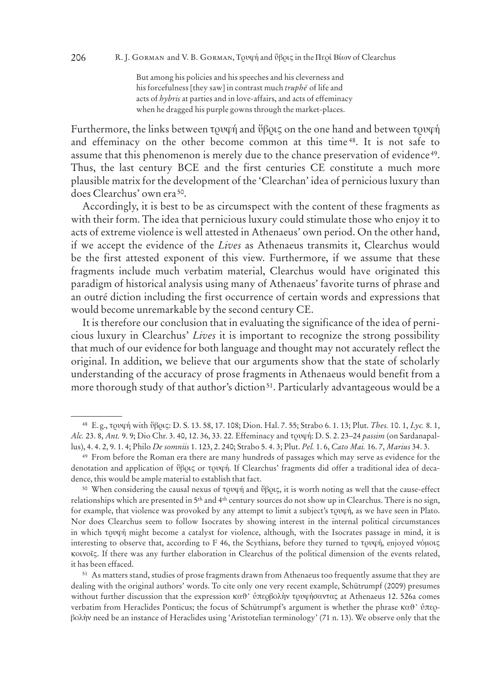But among his policies and his speeches and his cleverness and his forcefulness [they saw] in contrast much *truphe* of life and acts of *hybris* at parties and in love-affairs, and acts of effeminacy when he dragged his purple gowns through the market-places.

Furthermore, the links between  $\tau$  and  $\gamma$  and  $\gamma$  and  $\gamma$  on the one hand and between  $\tau$  and  $\gamma$ and effeminacy on the other become common at this time 48. It is not safe to assume that this phenomenon is merely due to the chance preservation of evidence 49. Thus, the last century BCE and the first centuries CE constitute a much more plausible matrix for the development of the 'Clearchan' idea of pernicious luxury than does Clearchus' own era 50.

Accordingly, it is best to be as circumspect with the content of these fragments as with their form. The idea that pernicious luxury could stimulate those who enjoy it to acts of extreme violence is well attested in Athenaeus' own period. On the other hand, if we accept the evidence of the *Lives* as Athenaeus transmits it, Clearchus would be the first attested exponent of this view. Furthermore, if we assume that these fragments include much verbatim material, Clearchus would have originated this paradigm of historical analysis using many of Athenaeus' favorite turns of phrase and an outré diction including the first occurrence of certain words and expressions that would become unremarkable by the second century CE.

It is therefore our conclusion that in evaluating the significance of the idea of pernicious luxury in Clearchus' *Lives* it is important to recognize the strong possibility that much of our evidence for both language and thought may not accurately reflect the original. In addition, we believe that our arguments show that the state of scholarly understanding of the accuracy of prose fragments in Athenaeus would benefit from a more thorough study of that author's diction<sup>51</sup>. Particularly advantageous would be a

<sup>&</sup>lt;sup>48</sup> E.g., τρυφή with ύβρις: D. S. 13. 58, 17. 108; Dion. Hal. 7. 55; Strabo 6. 1. 13; Plut. *Thes.* 10. 1, *Lyc.* 8. 1, *Alc.* 23. 8, *Ant.* 9. 9; Dio Chr. 3. 40, 12. 36, 33. 22. Effeminacy and trufä: D. S. 2. 23–24 *passim* (on Sardanapallus), 4. 4. 2, 9. 1. 4; Philo *De somniis* 1. 123, 2. 240; Strabo 5. 4. 3; Plut. *Pel.* 1. 6, *Cato Mai.* 16. 7, *Marius* 34. 3.

<sup>49</sup> From before the Roman era there are many hundreds of passages which may serve as evidence for the denotation and application of or τρυφή. If Clearchus' fragments did offer a traditional idea of decadence, this would be ample material to establish that fact.

<sup>&</sup>lt;sup>50</sup> When considering the causal nexus of  $\tau$ *pvqn* and  $\vartheta$ *βρις*, it is worth noting as well that the cause-effect relationships which are presented in 5th and 4th century sources do not show up in Clearchus. There is no sign, for example, that violence was provoked by any attempt to limit a subject's  $\tau$ ovq $\acute{\eta}$ , as we have seen in Plato. Nor does Clearchus seem to follow Isocrates by showing interest in the internal political circumstances in which to the might become a catalyst for violence, although, with the Isocrates passage in mind, it is interesting to observe that, according to F 46, the Scythians, before they turned to τρυφή, enjoyed νόμοις κoinoîv. If there was any further elaboration in Clearchus of the political dimension of the events related, it has been effaced.

<sup>51</sup> As matters stand, studies of prose fragments drawn from Athenaeus too frequently assume that they are dealing with the original authors' words. To cite only one very recent example, Schütrumpf (2009) presumes without further discussion that the expression καθ' ύπερβολὴν τρυφήσαντας at Athenaeus 12. 526a comes verbatim from Heraclides Ponticus; the focus of Schütrumpf's argument is whether the phrase καθ' ύπερβολὴν need be an instance of Heraclides using 'Aristotelian terminology' (71 n. 13). We observe only that the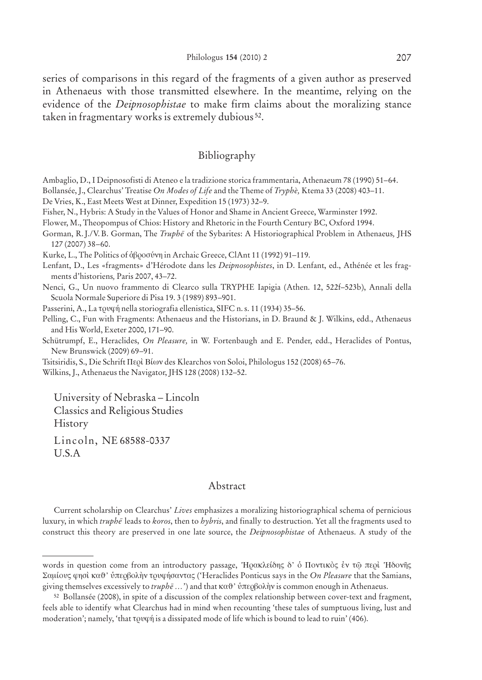series of comparisons in this regard of the fragments of a given author as preserved in Athenaeus with those transmitted elsewhere. In the meantime, relying on the evidence of the *Deipnosophistae* to make firm claims about the moralizing stance taken in fragmentary works is extremely dubious 52.

### Bibliography

Ambaglio, D., I Deipnosofisti di Ateneo e la tradizione storica frammentaria, Athenaeum 78 (1990) 51–64.

Bollansée, J., Clearchus' Treatise *On Modes of Life* and the Theme of *Tryphè,* Ktema 33 (2008) 403–11.

De Vries, K., East Meets West at Dinner, Expedition 15 (1973) 32–9.

Fisher, N., Hybris: A Study in the Values of Honor and Shame in Ancient Greece, Warminster 1992.

Flower, M., Theopompus of Chios: History and Rhetoric in the Fourth Century BC, Oxford 1994.

Gorman, R. J./V. B. Gorman, The *Truphe* of the Sybarites: A Historiographical Problem in Athenaeus, JHS 127 (2007) 38–60.

Kurke, L., The Politics of ἀβροσύνη in Archaic Greece, ClAnt 11 (1992) 91-119.

Lenfant, D., Les «fragments» d'Hérodote dans les *Deipnosophistes*, in D. Lenfant, ed., Athénée et les fragments d'historiens*,* Paris 2007, 43–72.

Nenci, G., Un nuovo frammento di Clearco sulla TRYPHE Iapigia (Athen. 12, 522f–523b), Annali della Scuola Normale Superiore di Pisa 19. 3 (1989) 893–901.

Passerini, A., La tovon nella storiografia ellenistica, SIFC n. s. 11 (1934) 35-56.

Pelling, C., Fun with Fragments: Athenaeus and the Historians, in D. Braund & J. Wilkins, edd., Athenaeus and His World, Exeter 2000, 171–90.

Schütrumpf, E., Heraclides, *On Pleasure,* in W. Fortenbaugh and E. Pender, edd., Heraclides of Pontus, New Brunswick (2009) 69–91.

Tsitsiridis, S., Die Schrift II epi Bíwy des Klearchos von Soloi, Philologus 152 (2008) 65–76.

Wilkins, J., Athenaeus the Navigator, JHS 128 (2008) 132–52.

University of Nebraska – Lincoln Classics and Religious Studies History

Lincoln, NE 68588-0337 U.S.A

#### Abstract

Current scholarship on Clearchus' *Lives* emphasizes a moralizing historiographical schema of pernicious luxury, in which *truphe¯* leads to *koros*, then to *hybris*, and finally to destruction. Yet all the fragments used to construct this theory are preserved in one late source, the *Deipnosophistae* of Athenaeus. A study of the

words in question come from an introductory passage, 'Ηρακλείδης δ' ό Ποντικὸς ἐν τῷ περὶ 'Ηδονῆς Samíouv fhsì κaq' uperbolæn trufäsantav ™ ('Heraclides Ponticus says in the *On Pleasure* that the Samians, giving themselves excessively to *truphē ...*') and that καθ' ύπερβολὴν is common enough in Athenaeus.

<sup>52</sup> Bollansée (2008), in spite of a discussion of the complex relationship between cover-text and fragment, feels able to identify what Clearchus had in mind when recounting 'these tales of sumptuous living, lust and moderation'; namely, 'that  $\tau$ ovq $\acute{\eta}$  is a dissipated mode of life which is bound to lead to ruin' (406).